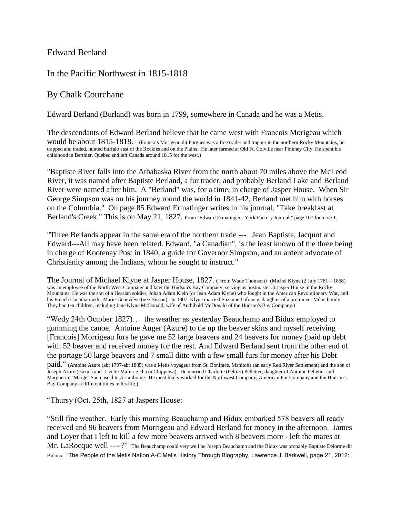# Edward Berland

# In the Pacific Northwest in 1815-1818

# By Chalk Courchane

Edward Berland (Burland) was born in 1799, somewhere in Canada and he was a Metis.

The descendants of Edward Berland believe that he came west with Francois Morigeau which would be about 1815-1818. (Francois Morigeau dit Forgues was a free trader and trapper in the northern Rocky Mountains, he trapped and traded, hunted buffalo east of the Rockies and on the Plains. He later farmed at Old Ft. Colville near Pinkney City. He spent his childhood in Berthier, Quebec and left Canada around 1815 for the west.)

"Baptiste River falls into the Athabaska River from the north about 70 miles above the McLeod River, it was named after Baptiste Berland, a fur trader, and probably Berland Lake and Berland River were named after him. A "Berland" was, for a time, in charge of Jasper House. When Sir George Simpson was on his journey round the world in 1841-42, Berland met him with horses on the Columbia." On page 85 Edward Ermatinger writes in his journal. "Take breakfast at Berland's Creek." This is on May 21, 1827. From "Edward Ermatinger's York Factory Journal," page 107 footnote 1.

"Three Berlands appear in the same era of the northern trade --- Jean Baptiste, Jacquot and Edward---All may have been related. Edward, "a Canadian", is the least known of the three being in charge of Kootenay Post in 1840, a guide for Governor Simpson, and an ardent advocate of Christianity among the Indians, whom he sought to instruct."

The Journal of Michael Klyne at Jasper House, 1827. ( From Wade Thomson) (Michel Klyne (2 July 1781 – 1868) was an employee of the North West Company and later the Hudson's Bay Company, serving as postmaster at Jasper House in the Rocky Mountains. He was the son of a Hessian soldier, Johan Adam Klein (or Jean Adam Klyne) who fought in the American Revolutionary War, and his French Canadian wife, Marie-Geneviève (née Bisson). In 1807, Klyne married Suzanne Lafrance, daughter of a prominent Métis family. They had ten children, including Jane Klyne McDonald, wife of Archibald McDonald of the Hudson's Bay Company.)

"Wedy 24th October 1827)… the weather as yesterday Beauchamp and Bidux employed to gumming the canoe. Antoine Auger (Azure) to tie up the beaver skins and myself receiving [Francois] Morrigeau furs he gave me 52 large beavers and 24 beavers for money (paid up debt with 52 beaver and received money for the rest. And Edward Berland sent from the other end of the portage 50 large beavers and 7 small ditto with a few small furs for money after his Debt

paid." (Antoine Azure (abt 1797-abt 1885) was a Metis voyageur from St. Boniface, Manitoba (an early Red River Settlement) and the son of Joseph Azure (Hazur) and Lizette Ma-na-e-cha (a Chippewa). He married Charlotte (Peltier) Pelletier, daughter of Antoine Pelletier and Marguerite "Marge" Sauteuse dite Assiniboine. He most likely worked for the Northwest Company, American Fur Company and the Hudson's Bay Company at different times in his life.)

"Thursy (Oct. 25th, 1827 at Jaspers House:

"Still fine weather. Early this morning Beauchamp and Bidux embarked 578 beavers all ready received and 96 beavers from Morrigeau and Edward Berland for money in the afternoon. James and Loyer that I left to kill a few more beavers arrived with 8 beavers more - left the mares at Mr. LaRocque well ----?" The Beauchamp could very well be Joseph Beauchamp and the Bidux was probably Baptiste Delorme dit Bidoux. "The People of the Metis Nation:A-C Metis History Through Biography, Lawrence J. Barkwell, page 21, 2012: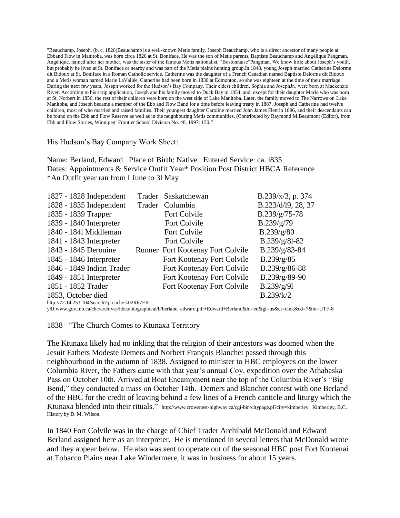"Beauchamp, Joseph. (b. c. 1826)Beauchamp is a well-known Metis family. Joseph Beauchamp, who is a direct ancestor of many people at Ebband Flow in Manitoba, was born circa 1826 at St. Boniface. He was the son of Metis parents, Baptiste Beauchamp and Angélique Pangman. Angélique, named after her mother, was the sister of the famous Metis nationalist, "Bostonnaise"Pangman. We know little about Joseph's youth, but probably he lived at St. Boniface or nearby and was part of the Metis plains hunting group.In 1848, young Joseph married Catherine Delorme dit Bidoux at St. Boniface in a Roman Catholic service. Catherine was the daughter of a French Canadian named Baptiste Delorme dit Bidoux and a Metis woman named Marie LaVallée. Catherine had been born in 1830 at Edmonton, so she was eighteen at the time of their marriage. During the next few years, Joseph worked for the Hudson's Bay Company. Their eldest children, Sophia and JosephJr., were born at Mackenzie River. According to his scrip application, Joseph and his family moved to Duck Bay in 1854, and, except for their daughter Marie who was born at St. Norbert in 1856, the rest of their children were born on the west side of Lake Manitoba. Later, the family moved to The Narrows on Lake Manitoba, and Joseph became a member of the Ebb and Flow Band for a time before leaving treaty in 1887. Joseph and Catherine had twelve children, most of who married and raised families. Their youngest daughter Caroline married John James Flett in 1896, and their descendants can be found on the Ebb and Flow Reserve as well as in the neighbouring Metis communities. (Contributed by Raymond M.Beaumont (Editor), from Ebb and Flow Stories, Winnipeg: Frontier School Division No. 48, 1997: 150."

His Hudson's Bay Company Work Sheet:

Name: Berland, Edward Place of Birth: Native Entered Service: ca. l835 Dates: Appointments & Service Outfit Year\* Position Post District HBCA Reference \*An Outfit year ran from l June to 3l May

| 1827 - 1828 Independent   | Trader Saskatchewan               | $B.239/x/3$ , p. 374 |
|---------------------------|-----------------------------------|----------------------|
| 1828 - 1835 Independent   | Trader Columbia                   | B.223/d/19, 28, 37   |
| 1835 - 1839 Trapper       | Fort Colvile                      | $B.239/g/75-78$      |
| 1839 - 1840 Interpreter   | Fort Colvile                      | B.239/g/79           |
| 1840 - 1841 Middleman     | Fort Colvile                      | B.239/g/80           |
| 1841 - 1843 Interpreter   | Fort Colvile                      | B.239/g/81-82        |
| 1843 - 1845 Derouine      | Runner Fort Kootenay Fort Colvile | B.239/g/83-84        |
| 1845 - 1846 Interpreter   | Fort Kootenay Fort Colvile        | B.239/g/85           |
| 1846 - 1849 Indian Trader | Fort Kootenay Fort Colvile        | $B.239/g/86-88$      |
| 1849 - 1851 Interpreter   | Fort Kootenay Fort Colvile        | B.239/g/89-90        |
| 1851 - 1852 Trader        | Fort Kootenay Fort Colvile        | B.239/g/91           |
| 1853, October died        |                                   | B.239/k/2            |

http://72.14.253.104/search?q=cache:k02R67EK-

y8J:www.gov.mb.ca/chc/archives/hbca/biographical/b/berland\_edward.pdf+Edward+Berland&hl=en&gl=us&ct=clnk&cd=7&ie=UTF-8

1838 "The Church Comes to Ktunaxa Territory

The Ktunaxa likely had no inkling that the religion of their ancestors was doomed when the Jesuit Fathers Modeste Demers and Norbert François Blanchet passed through this neighbourhood in the autumn of 1838. Assigned to minister to HBC employees on the lower Columbia River, the Fathers came with that year's annual Coy. expedition over the Athabaska Pass on October 10th. Arrived at Boat Encampment near the top of the Columbia River's "Big Bend," they conducted a mass on October 14th. Demers and Blanchet contest with one Berland of the HBC for the credit of leaving behind a few lines of a French canticle and liturgy which the Ktunaxa blended into their rituals." http://www.crowsnest-highway.ca/cgi-bin/citypage.pl?city=kimberley Kimberley, B.C. History by D. M. Wilson.

In 1840 Fort Colvile was in the charge of Chief Trader Archibald McDonald and Edward Berland assigned here as an interpreter. He is mentioned in several letters that McDonald wrote and they appear below. He also was sent to operate out of the seasonal HBC post Fort Kootenai at Tobacco Plains near Lake Windermere, it was in business for about 15 years.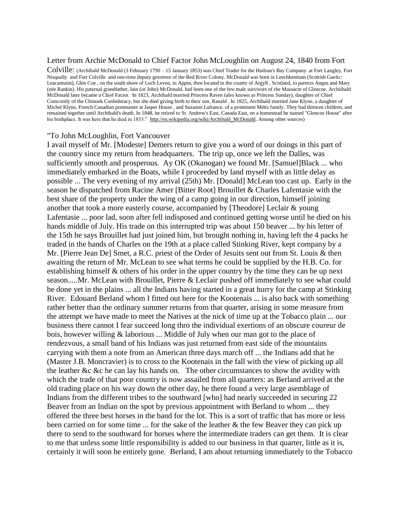### Letter from Archie McDonald to Chief Factor John McLoughlin on August 24, 1840 from Fort

Colville: (Archibald McDonald (3 February 1790 – 15 January 1853) was Chief Trader for the Hudson's Bay Company at Fort Langley, Fort Nisqually and Fort Colville and one-time deputy governor of the Red River Colony. McDonald was born in Leechkentium (Scottish Gaelic: Leacantuim), Glen Coe , on the south shore of Loch Leven, in Appin, then located in the county of Argyll , Scotland, to parents Angus and Mary (née Rankin). His paternal grandfather, Iain (or John) McDonald, had been one of the few male survivors of the Massacre of Glencoe. Archiibald McDonald later became a Chief Factor. In 1823, Archibald married Princess Raven (also known as Princess Sunday), daughter of Chief Comcomly of the Chinook Confederacy, but she died giving birth to their son, Ranald . In 1825, Archibald married Jane Klyne, a daughter of Michel Klyne, French Canadian postmaster at Jasper House , and Suzanne Lafrance, of a prominent Métis family. They had thirteen children, and remained together until Archibald's death. In 1848, he retired to St. Andrew's East, Canada East, on a homestead he named "Glencoe House" after his birthplace. It was here that he died in 1853." [http://en.wikipedia.org/wiki/Archibald\\_McDonald.](http://en.wikipedia.org/wiki/Archibald_McDonald) Among other sources)

#### "To John McLoughlin, Fort Vancouver

I avail myself of Mr. [Modeste] Demers return to give you a word of our doings in this part of the country since my return from headquarters. The trip up, once we left the Dalles, was sufficiently smooth and prosperous. Ay OK (Okanogan) we found Mr. [Samuel]Black ... who immediately embarked in the Boats, while I proceeded by land myself with as little delay as possible ... The very evening of my arrival (25th) Mr. [Donald] McLean too cast up. Early in the season he dispatched from Racine Amer [Bitter Root] Brouillet & Charles Lafentasie with the best share of the property under the wing of a camp going in our direction, himself joining another that took a more easterly course, accompanied by [Theodore] Leclair & young Lafentasie ... poor lad, soon after fell indisposed and continued getting worse until he died on his hands middle of July. His trade on this interrupted trip was about 150 beaver ... by his letter of the 15th he says Brouillet had just joined him, but brought nothing in, having left the 4 packs he traded in the hands of Charles on the 19th at a place called Stinking River, kept company by a Mr. [Pierre Jean De] Smet, a R.C. priest of the Order of Jesuits sent out from St. Louis & then awaiting the return of Mr. McLean to see what terms he could be supplied by the H.B. Co. for establishing himself & others of his order in the upper country by the time they can be up next season.....Mr. McLean with Brouillet, Pierre & Leclair pushed off immediately to see what could be done yet in the plains ... all the Indians having started in a great hurry for the camp at Stinking River. Edouard Berland whom I fitted out here for the Kootenais ... is also back with something rather better than the ordinary summer returns from that quarter, arising in some measure from the attempt we have made to meet the Natives at the nick of time up at the Tobacco plain ... our business there cannot I fear succeed long thro the individual exertions of an obscure coureur de bois, however willing & laborious ... Middle of July when our man got to the place of rendezvous, a small band of his Indians was just returned from east side of the mountains carrying with them a note from an American three days march off ... the Indians add that he (Master J.B. Moncravier) is to cross to the Kootenais in the fall with the view of picking up all the leather &c &c he can lay his hands on. The other circumstances to show the avidity with which the trade of that poor country is now assailed from all quarters: as Berland arrived at the old trading place on his way down the other day, he there found a very large asemblage of Indians from the different tribes to the southward [who] had nearly succeeded in securing 22 Beaver from an Indian on the spot by previous appointment with Berland to whom ... they offered the three best horses in the band for the lot. This is a sort of traffic that has more or less been carried on for some time ... for the sake of the leather  $\&$  the few Beaver they can pick up there to send to the southward for horses where the intermediate traders can get them. It is clear to me that unless some little responsibility is added to our business in that quarter, little as it is, certainly it will soon be entirely gone. Berland, I am about returning immediately to the Tobacco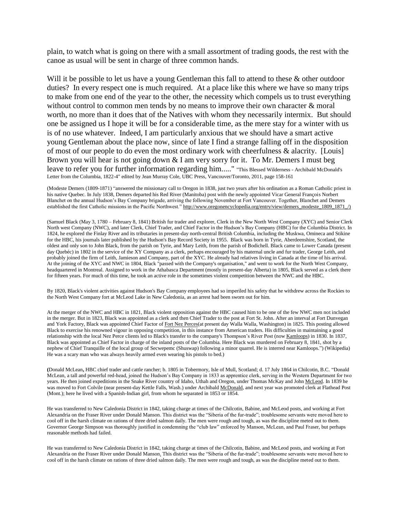plain, to watch what is going on there with a small assortment of trading goods, the rest with the canoe as usual will be sent in charge of three common hands.

Will it be possible to let us have a young Gentleman this fall to attend to these & other outdoor duties? In every respect one is much required. At a place like this where we have so many trips to make from one end of the year to the other, the necessity which compels us to trust everything without control to common men tends by no means to improve their own character & moral worth, no more than it does that of the Natives with whom they necessarily intermix. But should one be assigned us I hope it will be for a considerable time, as the mere stay for a winter with us is of no use whatever. Indeed, I am particularly anxious that we should have a smart active young Gentleman about the place now, since of late I find a strange falling off in the disposition of most of our people to do even the most ordinary work with cheerfulness & alacrity. [Louis] Brown you will hear is not going down & I am very sorry for it. To Mr. Demers I must beg leave to refer you for further information regarding him....." "This Blessed Wilderness - Archibald McDonald's Letter from the Columbia, 1822-4" edited by Jean Murray Cole, UBC Press, Vancouver/Toronto, 2011, page 158-161

(Modeste Demers (1809-1871) "answered the missionary call to Oregon in 1838, just two years after his ordination as a Roman Catholic priest in his native Quebec. In July 1838, Demers departed his Red River (Manitoba) post with the newly appointed Vicar General François Norbert Blanchet on the annual Hudson's Bay Company brigade, arriving the following November at Fort Vancouver. Together, Blanchet and Demers established the first Catholic missions in the Pacific Northwest." http://www.oregonencyclopedia.org/entry/view/demers\_modeste\_1809\_1871\_/)

(Samuel Black (May 3, 1780 – February 8, 1841) British fur trader and explorer, Clerk in the New North West Company (XYC) and Senior Clerk North west Company (NWC), and later Clerk, Chief Trader, and Chief Factor in the Hudson's Bay Company (HBC) for the Columbia District. In 1824, he explored the Finlay River and its tributaries in present-day north-central British Columbia, including the Muskwa, Omineca and Stikine for the HBC, his journals later published by the Hudson's Bay Record Society in 1955. Black was born in Tyrie, Aberdeenshire, Scotland, the oldest and only son to John Black, from the parish on Tyrie, and Mary Leith, from the parish of Bodichell. Black came to Lower Canada (present day Quebéc) in 1802 in the service of the XY Company as a clerk, perhaps encouraged by his maternal uncle and fur trader, George Leith, and probably joined the firm of Leith, Jamieson and Company, part of the XYC. He already had relatives living in Canada at the time of his arrival. At the joining of the XYC and NWC in 1804, Black "passed with the Company's organisation," and went to work for the North West Company, headquartered in Montreal. Assigned to work in the Athabasca Department (mostly in present-day Alberta) in 1805, Black served as a clerk there for fifteen years. For much of this time, he took an active role in the sometimes violent competition between the NWC and the HBC.

By 1820, Black's violent activities against Hudson's Bay Company employees had so imperiled his safety that he withdrew across the Rockies to the North West Company fort at McLeod Lake in New Caledonia, as an arrest had been sworn out for him.

At the merger of the NWC and HBC in 1821, Black violent opposition against the HBC caused him to be one of the few NWC men not included in the merger. But in 1823, Black was appointed as a clerk and then Chief Trader to the post at Fort St. John. After an interval at Fort Dunvegan and York Factory, Black was appointed Chief Factor o[f Fort Nez Perces\(](http://en.wikipedia.org/wiki/Fort_Nez_Perc%C3%A9s)at present day Walla Walla, Washington) in 1825. This posting allowed Black to exercise his renowned vigour in opposing competition, in this instance from American traders. His difficulties in maintaining a good relationship with the local Nez Perce clients led to Black's transfer to the company's Thompson's River Post (no[w Kamloops\)](http://en.wikipedia.org/wiki/Kamloops) in 1830. In 1837, Black was appointed as Chief Factor in charge of the inland posts of the Columbia. Here Black was murdered on February 8, 1841, shot by a nephew of Chief Tranquille of the local group of Secwepemc (Shuswap) following a minor quarrel. He is interred near Kamloops.") (Wikipedia) He was a scary man who was always heavily armed even wearing his pistols to bed.)

**(**Donald McLean**,** HBC chief trader and cattle rancher; b. 1805 in Tobermory, Isle of Mull, Scotland; d. 17 July 1864 in Chilcotin, B.C. "Donald McLean, a tall and powerful red-head, joined the Hudson's Bay Company in 1833 as apprentice clerk, serving in the Western Department for two years. He then joined expeditions in the Snake River country of Idaho, Uthah and Oregon, under Thomas McKay and Joh[n McLeod.](http://www.biographi.ca/009004-110.01-e.php?list=3550+3551&PHPSESSID=pv2hq0ipjo2f8o58b3gmkitgk0) In 1839 he was moved to Fort Colvile (near present-day Kettle Falls, Wash.) under Archibal[d McDonald,](http://www.biographi.ca/009004-119.01-e.php?id_nbr=4063&PHPSESSID=pv2hq0ipjo2f8o58b3gmkitgk0) and next year was promoted clerk at Flathead Post (Mont.); here he lived with a Spanish-Indian girl, from whom he separated in 1853 or 1854.

He was transferred to New Caledonia District in 1842, taking charge at times of the Chilcotin, Babine, and McLeod posts, and working at Fort Alexandria on the Fraser River under Donald Manson. This district was the "Siberia of the fur-trade"; troublesome servants were moved here to cool off in the harsh climate on rations of three dried salmon daily. The men were rough and tough, as was the discipline meted out to them. Governor George Simpson was thoroughly justified in condemning the "club law" enforced by Manson, McLean, and Paul Fraser, but perhaps reasonable methods had failed.

He was transferred to New Caledonia District in 1842, taking charge at times of the Chilcotin, Babine, and McLeod posts, and working at Fort Alexandria on the Fraser River under Donald Manson. This district was the "Siberia of the fur-trade"; troublesome servants were moved here to cool off in the harsh climate on rations of three dried salmon daily. The men were rough and tough, as was the discipline meted out to them.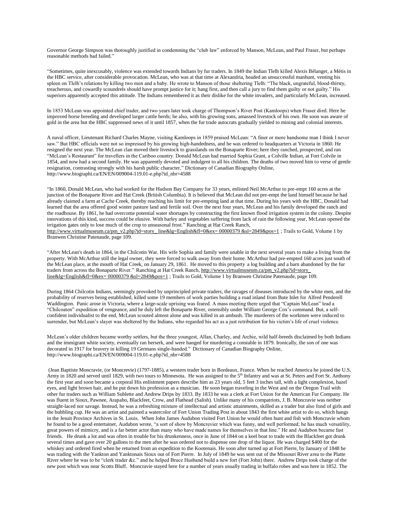Governor George Simpson was thoroughly justified in condemning the "club law" enforced by Manson, McLean, and Paul Fraser, but perhaps reasonable methods had failed."

"Sometimes, quite inexcusably, violence was extended towards Indians by fur traders. In 1849 the Indian Tlelh killed Alexis Bélanger, a Métis in the HBC service, after considerable provocation. McLean, who was at that time at Alexandria, headed an unsuccessful manhunt, venting his spleen on Tlelh's relations by killing two men and a baby. He wrote to Manson of those sheltering Tlelh: "The black, ungrateful, blood-thirsty, treacherous, and cowardly scoundrels should have prompt justice for it; hang first, and then call a jury to find them guilty or not guilty." His superiors apparently accepted this attitude. The Indians remembered it as their dislike for the white invaders, and particularly McLean, increased.

In 1853 McLean was appointed chief trader, and two years later took charge of Thompson's River Post (Kamloops) when Fraser died. Here he improved horse breeding and developed larger cattle herds; he also, with his growing sons, amassed livestock of his own. He soon was aware of gold in the area but the HBC suppressed news of it until 1857, when the fur trade autocrats gradually yielded to mining and colonial interests.

A naval officer, Lieutenant Richard Charles Mayne, visiting Kamloops in 1859 praised McLean: "A finer or more handsome man I think I never saw." But HBC officials were not so impressed by his growing high-handedness, and he was ordered to headquarters at Victoria in 1860. He resigned the next year. The McLean clan moved their livestock to grasslands on the Bonaparte River; here they ranched, prospected, and ran "McLean's Restaurant" for travellers in the Cariboo country. Donald McLean had married Sophia Grant, a Colville Indian, at Fort Colvile in 1854, and now had a second family. He was apparently devoted and indulgent to all his children. The deaths of two moved him to verse of gentle resignation, contrasting strongly with his harsh public character." Dictionary of Canadian Biography Online, http://www.biographi.ca/EN/EN/009004-119.01-e.php?id\_nbr=4588

"In 1860, Donald McLean, who had worked for the Hudson Bay Company for 33 years, enlisted Neil McArthur to pre-empt 160 acres at the junction of the Bonaparte River and Hat Creek (British Columbia). It is believed that McLean did not pre-empt the land himself because he had already claimed a farm at Cache Creek, thereby reaching his limit for pre-empting land at that time. During his years with the HBC, Donald had learned that the area offered good winter pasture land and fertile soil. Over the next four years, McLean and his family developed the ranch and the roadhouse. By 1861, he had overcome potential water shortages by constructing the first known flood irrigation system in the colony. Despite innovations of this kind, success could be elusive. With barley and vegetables suffering from lack of rain the following year, McLean opened the irrigation gates only to lose much of the crop to unseasonal frost." Ranching at Hat Creek Ranch,

[http://www.virtualmuseum.ca/pm\\_v2.php?id=story\\_ line&lg=English&fl=0&ex= 00000379 &sl=2849&pos=1](http://www.virtualmuseum.ca/pm_v2.php?id=story_%20line&lg=English&fl=0&ex=%2000000379%20&sl=2849&pos=1) ; Trails to Gold, Volume 1 by Branwen Christine Patenaude, page 109.

"After McLean's death in 1864, in the Chilcotin War. His wife Sophia and family were unable in the next several years to make a living from the property. With McArthur still the legal owner, they were forced to walk away from their home. McArthur had pre-empted 160 acres just south of the McLean place, at the mouth of Hat Creek, on January 29, 1861. He moved to this property a log building and a barn abandoned by the fur traders from across the Bonaparte River." Ranching at Hat Creek Ranch, http://www.virtualmuseum.ca/pm\_v2.php?id=story\_ [line&lg=English&fl=0&ex= 00000379 &sl=2849&pos=1](http://www.virtualmuseum.ca/pm_v2.php?id=story_%20line&lg=English&fl=0&ex=%2000000379%20&sl=2849&pos=1) ; Trails to Gold, Volume 1 by Branwen Christine Patenaude, page 109.

During 1864 Chilcotin Indians, seemingly provoked by unprincipled private traders, the ravages of diseases introduced by the white men, and the probability of reserves being established, killed some 19 members of work parties building a road inland from Bute Inlet for Alfred Penderell Waddington. Panic arose in Victoria, where a large-scale uprising was feared. A mass meeting there urged that "Captain McLean" lead a "Chilcoaten" expedition of vengeance, and he duly left the Bonaparte River, ostensibly under William George Cox's command. But, a selfconfident individualist to the end, McLean scouted almost alone and was killed in an ambush. The murderers of the workmen were induced to surrender, but McLean's slayer was sheltered by the Indians, who regarded his act as a just retribution for his victim's life of cruel violence.

McLean's older children became worthy settlers, but the three youngest, Allan, Charley, and Archie, wild half-breeds disclaimed by both Indians and the immigrant white society, eventually ran berserk, and were hanged for murdering a constable in 1879. Ironically, the son of one was decorated in 1917 for bravery in killing 19 Germans single-handed." Dictionary of Canadian Biography Online, http://www.biographi.ca/EN/EN/009004-119.01-e.php?id\_nbr=4588

(Jean Baptiste Moncravie, (or Moncrevie) (1797-1885), a western trader born in Bordeaux, France. When he reached America he joined the U.S. Army in 1820 and served until 1829, with two tours to Minnesota. He was assigned to the 5<sup>th</sup> Infantry and was at St. Peters and Fort St. Anthony the first year and soon became a corporal His enlistment papers describe him as 23 years old, 5 feet 3 inches tall, with a light complexion, hazel eyes, and light brown hair, and he put down his profession as a musician. He soon began traveling in the West and on the Oregon Trail with other fur traders such as William Sublette and Andrew Drips by 1833. By 1833 he was a clerk at Fort Union for the American Fur Company. He was fluent in Sioux, Pawnee, Arapaho, Blackfeet, Crow, and Flathead (Salish). Unlike many of his compatriots, J. B. Moncravie was neither straight-laced nor savage. Instead, he was a refreshing mixture of intellectual and artistic attainments, skilled as a trader but also fond of girls and the bubbling cup. He was an artist and painted a watercolor of Fort Union Trading Post in about 1843 the first white artist to do so, which hangs in the Jesuit Province Archives in St. Louis. When John James Audubon visited Fort Union he would often hunt and fish with Moncravie whom he found to be a good entertainer, Audubon wrote, "a sort of show by Moncrevier which was funny, and well performed; he has much versatility, great powers of mimicry, and is a far better actor than many who have made names for themselves in that line." He and Audubon became fast friends. He drunk a lot and was often in trouble for his drunkenness, once in June of 1844 on a keel boat to trade with the Blackfeet got drunk several times and gave over 20 gallons to the men after he was ordered not to dispense one drop of the liquor. He was charged \$400 for the whiskey and ordered fired when he returned from an expedition to the Kootenais. He soon after turned up at Fort Pierre, by January of 1848 he was trading with the Yankton and Yanktonais Sioux out of Fort Pierre. In July of 1849 he was sent out of the Missouri River area to the Platte River where he was to be "clerk trader &c." and he helped Bruce Husband build a new fort (Fort John) there. Andrew Drips took charge of the new post which was near Scotts Bluff. Moncravie stayed here for a number of years usually trading in buffalo robes and was here in 1852. The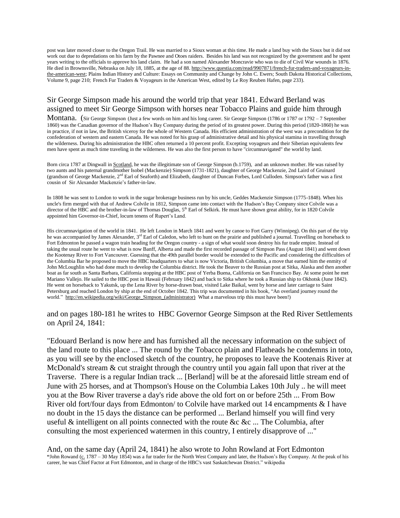post was later moved closer to the Oregon Trail. He was married to a Sioux woman at this time. He made a land buy with the Sioux but it did not work out due to depredations on his farm by the Pawnee and Otoes raiders. Besides his land was not recognized by the government and he spent years writing to the officials to approve his land claim. He had a son named Alexander Moncravie who was to die of Civil War wounds in 1876. He died in Brownsville, Nebraska on July 18, 1885, at the age of 88[. http://www.questia.com/read/9907871/french-fur-traders-and-voyageurs-in](http://www.questia.com/read/9907871/french-fur-traders-and-voyageurs-in-the-american-west)[the-american-west;](http://www.questia.com/read/9907871/french-fur-traders-and-voyageurs-in-the-american-west) Plains Indian History and Culture: Essays on Community and Change by John C. Ewers; South Dakota Historical Collections, Volume 9, page 210; French Fur Traders & Voyageurs in the American West, edited by Le Roy Reuben Hafen, page 233).

## Sir George Simpson made his around the world trip that year 1841. Edward Berland was assigned to meet Sir George Simpson with horses near Tobacco Plains and guide him through

Montana. (Sir George Simpson (Just a few words on him and his long career. Sir George Simpson (1786 or 1787 or 1792 – 7 September 1860) was the Canadian governor of the Hudson's Bay Company during the period of its greatest power. During this period (1820-1860) he was in practice, if not in law, the British viceroy for the whole of Western Canada. His efficient administration of the west was a precondition for the confederation of western and eastern Canada. He was noted for his grasp of administrative detail and his physical stamina in travelling through the wilderness. During his administration the HBC often returned a 10 percent profit. Excepting voyageurs and their Siberian equivalents few men have spent as much time traveling in the wilderness. He was also the first person to have "circumnavigated" the world by land.

Born circa 1787 at Dingwall i[n Scotland,](http://en.wikipedia.org/wiki/Scotland) he was the illegitimate son of George Simpson (b.1759), and an unknown mother. He was raised by two aunts and his paternal grandmother Isobel (Mackenzie) Simpson (1731-1821), daughter of George Mackenzie, 2nd Laird of Gruinard (grandson of George Mackenzie, 2<sup>nd</sup> Earl of Seaforth) and Elizabeth, daughter of Duncan Forbes, Lord Culloden. Simpson's father was a first cousin of Sir Alexander Mackenzie's father-in-law.

In 1808 he was sent to London to work in the sugar brokerage business run by his uncle, Geddes Mackenzie Simpson (1775-1848). When his uncle's firm merged with that of Andrew Colvile in 1812, Simpson came into contact with the Hudson's Bay Company since Colvile was a director of the HBC and the brother-in-law of Thomas Douglas,  $5<sup>th</sup>$  Earl of Selkirk. He must have shown great ability, for in 1820 Colvile appointed him Governor-in-Chief, locum tenens of Rupert's Land.

His circumnavigation of the world in 1841. He left London in March 1841 and went by canoe to Fort Garry (Winnipeg). On this part of the trip he was accompanied by James Alexander, 3<sup>rd</sup> Earl of Caledon, who left to hunt on the prairie and published a journal. Travelling on horseback to Fort Edmonton he passed a wagon train heading for the Oregon country - a sign of what would soon destroy his fur trade empire. Instead of taking the usual route he went to what is now Banff, Alberta and made the first recorded passage of Simpson Pass (August 1841) and went down the Kootenay River to Fort Vancouver. Guessing that the 49th parallel border would be extended to the Pacific and considering the difficulties of the Columbia Bar he proposed to move the HBC headquarters to what is now Victoria, British Columbia, a move that earned him the enmity of John McLoughlin who had done much to develop the Columbia district. He took the Beaver to the Russian post at Sitka, Alaska and then another boat as far south as Santa Barbara, California stopping at the HBC post of Yerba Buena, California on San Francisco Bay. At some point he met Mariano Vallejo. He sailed to the HBC post in Hawaii (February 1842) and back to Sitka where he took a Russian ship to Okhotsk (June 1842). He went on horseback to Yakutsk, up the Lena River by horse-drawn boat, visited Lake Baikal, went by horse and later carriage to Saint Petersburg and reached London by ship at the end of October 1842. This trip was documented in his book, "An overland journey round the world." [http://en.wikipedia.org/wiki/George\\_Simpson\\_\(administrator\)](http://en.wikipedia.org/wiki/George_Simpson_(administrator)) What a marvelous trip this must have been!)

and on pages 180-181 he writes to HBC Governor George Simpson at the Red River Settlements on April 24, 1841:

"Edouard Berland is now here and has furnished all the necessary information on the subject of the land route to this place ... The round by the Tobacco plain and Flatheads he condemns in toto, as you will see by the enclosed sketch of the country, he proposes to leave the Kootenais River at McDonald's stream  $\&$  cut straight through the country until you again fall upon that river at the Traverse. There is a regular Indian track ... [Berland] will be at the aforesaid little stream end of June with 25 horses, and at Thompson's House on the Columbia Lakes 10th July .. he will meet you at the Bow River traverse a day's ride above the old fort on or before 25th ... From Bow River old fort/four days from Edmonton/ to Colvile have marked out 14 encampments & I have no doubt in the 15 days the distance can be performed ... Berland himself you will find very useful & intelligent on all points connected with the route &c &c  $\ldots$ . The Columbia, after consulting the most experienced watermen in this country, I entirely disapprove of ..."

And, on the same day (April 24, 1841) he also wrote to John Rowland at Fort Edmonton **"**John Rowand [\(c.](http://en.wikipedia.org/wiki/Circa) 1787 – 30 May 1854) was a fur trader for the North West Company and later, the Hudson's Bay Company. At the peak of his career, he was Chief Factor at Fort Edmonton, and in charge of the HBC's vast Saskatchewan District." wikipedia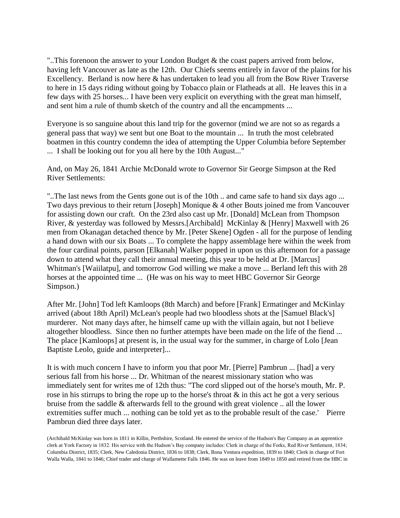"..This forenoon the answer to your London Budget  $\&$  the coast papers arrived from below, having left Vancouver as late as the 12th. Our Chiefs seems entirely in favor of the plains for his Excellency. Berland is now here & has undertaken to lead you all from the Bow River Traverse to here in 15 days riding without going by Tobacco plain or Flatheads at all. He leaves this in a few days with 25 horses... I have been very explicit on everything with the great man himself, and sent him a rule of thumb sketch of the country and all the encampments ...

Everyone is so sanguine about this land trip for the governor (mind we are not so as regards a general pass that way) we sent but one Boat to the mountain ... In truth the most celebrated boatmen in this country condemn the idea of attempting the Upper Columbia before September ... I shall be looking out for you all here by the 10th August..."

And, on May 26, 1841 Archie McDonald wrote to Governor Sir George Simpson at the Red River Settlements:

"..The last news from the Gents gone out is of the 10th .. and came safe to hand six days ago ... Two days previous to their return [Joseph] Monique & 4 other Bouts joined me from Vancouver for assisting down our craft. On the 23rd also cast up Mr. [Donald] McLean from Thompson River, & yesterday was followed by Messrs.[Archibald] McKinlay & [Henry] Maxwell with 26 men from Okanagan detached thence by Mr. [Peter Skene] Ogden - all for the purpose of lending a hand down with our six Boats ... To complete the happy assemblage here within the week from the four cardinal points, parson [Elkanah] Walker popped in upon us this afternoon for a passage down to attend what they call their annual meeting, this year to be held at Dr. [Marcus] Whitman's [Waiilatpu], and tomorrow God willing we make a move ... Berland left this with 28 horses at the appointed time ... (He was on his way to meet HBC Governor Sir George Simpson.)

After Mr. [John] Tod left Kamloops (8th March) and before [Frank] Ermatinger and McKinlay arrived (about 18th April) McLean's people had two bloodless shots at the [Samuel Black's] murderer. Not many days after, he himself came up with the villain again, but not I believe altogether bloodless. Since then no further attempts have been made on the life of the fiend ... The place [Kamloops] at present is, in the usual way for the summer, in charge of Lolo [Jean Baptiste Leolo, guide and interpreter]...

It is with much concern I have to inform you that poor Mr. [Pierre] Pambrun ... [had] a very serious fall from his horse ... Dr. Whitman of the nearest missionary station who was immediately sent for writes me of 12th thus: "The cord slipped out of the horse's mouth, Mr. P. rose in his stirrups to bring the rope up to the horse's throat  $\&$  in this act he got a very serious bruise from the saddle & afterwards fell to the ground with great violence .. all the lower extremities suffer much ... nothing can be told yet as to the probable result of the case.' Pierre Pambrun died three days later.

(Archibald McKinlay was born in 1811 in Killin, Perthshire, Scotland. He entered the service of the Hudson's Bay Company as an apprentice clerk at York Factory in 1832. His service with the Hudson's Bay company includes: Clerk in charge of the Forks, Red River Settlement, 1834; Columbia District, 1835; Clerk, New Caledonia District, 1836 to 1838; Clerk, Bona Ventura expedition, 1839 to 1840; Clerk in charge of Fort Walla Walla, 1841 to 1846; Chief trader and charge of Wallamette Falls 1846. He was on leave from 1849 to 1850 and retired from the HBC in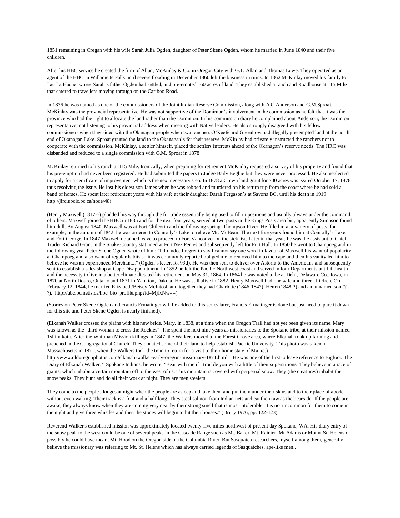1851 remaining in Oregan with his wife Sarah Julia Ogden, daughter of Peter Skene Ogden, whom he married in June 1840 and their five children.

After his HBC service he created the firm of Allan, McKinlay & Co. in Oregon City with G.T. Allan and Thomas Lowe. They operated as an agent of the HBC in Willamette Falls until severe flooding in December 1860 left the business in ruins. In 1862 McKinlay moved his family to Lac La Hache, where Sarah's father Ogden had settled, and pre-empted 160 acres of land. They established a ranch and Roadhouse at 115 Mile that catered to travellers moving through on the Cariboo Road.

In 1876 he was named as one of the commissioners of the Joint Indian Reserve Commission, along with A.C.Anderson and G.M.Sproat. McKinlay was the provincial representative. He was not supportive of the Dominion's involvement in the commission as he felt that it was the province who had the right to allocate the land rather than the Dominion. In his commission diary he complained about Anderson, the Dominion representative, not listening to his provincial address when meeting with Native leaders. He also strongly disagreed with his fellow commissioners when they sided with the Okanagan people when two ranchers O'Keefe and Greenhow had illegally pre-empted land at the north end of Okanagan Lake. Sproat granted the land to the Okanagan's for their reserve. McKinlay had privately instructed the ranchers not to cooperate with the commission. McKinlay, a settler himself, placed the settlers interests ahead of the Okanagan's reserve needs. The JIRC was disbanded and reduced to a single commission with G.M. Sproat in 1878.

McKinlay returned to his ranch at 115 Mile. Ironically, when preparing for retirement McKinlay requested a survey of his property and found that his pre-emption had never been registered. He had submitted the papers to Judge Baily Begbie but they were never processed. He also neglected to apply for a certificate of improvement which is the next necessary step. In 1878 a Crown land grant for 700 acres was issued October 17, 1878 thus resolving the issue. He lost his eldest son James when he was robbed and murdered on his return trip from the coast where he had sold a band of horses. He spent later retirement years with his wife at their daughter Darah Fergason's at Savona BC. until his death in 1919. http://jirc.ubcic.bc.ca/node/48)

(Henry Maxwell (1817-?) plodded his way through the fur trade essentially being used to fill in positions and usually always under the command of others. Maxwell joined the HBC in 1835 and for the next four years, served at two posts in the Kings Posts area but, apparently Simpson found him dull. By August 1840, Maxwell was at Fort Chilcotin and the following spring, Thompson River. He filled in at a variety of posts, for example, in the autumn of 1842, he was ordered to Connolly's Lake to relieve Mr. McBean. The next five years found him at Connolly's Lake and Fort George. In 1847 Maxwell obtained leave to proceed to Fort Vancouver on the sick list. Later in that year, he was the assistant to Chief Trader Richard Grant in the Snake Country stationed at Fort Nez Perces and subsequently left for Fort Hall. In 1850 he went to Champoeg and in the following year Peter Skene Ogden wrote of him: "I do indeed regret to say I cannot say one word in favour of Maxwell his want of popularity at Champoeg and also want of regular habits so it was commonly reported obliged me to removed him to the cape and then his vanity led him to believe he was an experienced Merchant..." (Ogden's letter, fo. 93d). He was then sent to deliver over Astoria to the Americans and subsequently sent to establish a sales shop at Cape Disappointment. In 1852 he left the Pacific Northwest coast and served in four Departments until ill health and the necessity to live in a better climate dictated his retirement on May 31, 1864. In 1864 he was noted to be at Dehi, Delaware Co., Iowa, in 1870 at North Douro, Ontario and 1871 in Yankton, Dakota. He was still alive in 1882. Henry Maxwell had one wife and three children. On February 12, 1844, he married Elizabeth/Betsey McIntosh and together they had Charlotte (1846-1847), Henri (1848-?) and an unnamed son (?-?). http://ubc.bcmetis.ca/hbc\_bio\_profile.php?id=MjIxNw==)

(Stories on Peter Skene Ogden and Francis Ermatinger will be added to this series later, Francis Ermatinger is done but just need to pare it down for this site and Peter Skene Ogden is nearly finished).

(Elkanah Walker crossed the plains with his new bride, Mary, in 1838, at a time when the Oregon Trail had not yet been given its name. Mary was known as the "third woman to cross the Rockies". The spent the next nine years as missionaries to the Spokane tribe, at their mission named Tshimikain. After the Whitman Mission killings in 1847, the Walkers moved to the Forest Grove area, where Elkanah took up farming and preached in the Congregational Church. They donated some of their land to help establish Pacific University. This photo was taken in Massachusetts in 1871, when the Walkers took the train to return for a visit to their home state of Maine.)

<http://www.oldoregonphotos.com/elkanah-walker-early-oregon-missionary-1871.html>He was one of the first to leave reference to Bigfoot. The Diary of Elkanah Walker, " Spokane Indians, he wrote: "Bear with me if I trouble you with a little of their superstitions. They believe in a race of giants, which inhabit a certain mountain off to the west of us. This mountain is covered with perpetual snow. They (the creatures) inhabit the snow peaks. They hunt and do all their work at night. They are men stealers.

They come to the people's lodges at night when the people are asleep and take them and put them under their skins and to their place of abode without even waking. Their track is a foot and a half long. They steal salmon from Indian nets and eat then raw as the bears do. If the people are awake, they always know when they are coming very near by their strong smell that is most intolerable. It is not uncommon for them to come in the night and give three whistles and then the stones will begin to hit their houses." (Drury 1976, pp. 122-123)

Reverend Walker's established mission was approximately located twenty-five miles northwest of present day Spokane, WA. His diary entry of the snow peak to the west could be one of several peaks in the Cascade Range such as Mt. Baker, Mt. Rainier, Mt Adams or Mount St. Helens or possibly he could have meant Mt. Hood on the Oregon side of the Columbia River. But Sasquatch researchers, myself among them, generally believe the missionary was referring to Mt. St. Helens which has always carried legends of Sasquatches, ape-like men..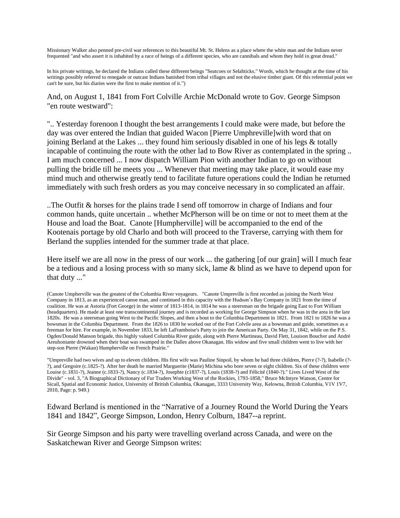Missionary Walker also penned pre-civil war references to this beautiful Mt. St. Helens as a place where the white man and the Indians never frequented "and who assert it is inhabited by a race of beings of a different species, who are cannibals and whom they hold in great dread."

In his private writings, he declared the Indians called these different beings "Seatcoes or Selahticks." Words, which he thought at the time of his writings possibly referred to renegade or outcast Indians banished from tribal villages and not the elusive timber giant. Of this referential point we can't be sure, but his diaries were the first to make mention of it.")

And, on August 1, 1841 from Fort Colville Archie McDonald wrote to Gov. George Simpson "en route westward":

".. Yesterday forenoon I thought the best arrangements I could make were made, but before the day was over entered the Indian that guided Wacon [Pierre Umphreville]with word that on joining Berland at the Lakes ... they found him seriously disabled in one of his legs & totally incapable of continuing the route with the other lad to Bow River as contemplated in the spring .. I am much concerned ... I now dispatch William Pion with another Indian to go on without pulling the bridle till he meets you ... Whenever that meeting may take place, it would ease my mind much and otherwise greatly tend to facilitate future operations could the Indian he returned immediately with such fresh orders as you may conceive necessary in so complicated an affair.

..The Outfit & horses for the plains trade I send off tomorrow in charge of Indians and four common hands, quite uncertain .. whether McPherson will be on time or not to meet them at the House and load the Boat. Canote [Humpherville] will be accompanied to the end of the Kootenais portage by old Charlo and both will proceed to the Traverse, carrying with them for Berland the supplies intended for the summer trade at that place.

Here itself we are all now in the press of our work ... the gathering [of our grain] will I much fear be a tedious and a losing process with so many sick, lame & blind as we have to depend upon for that duty ..."

"Umpreville had two wives and up to eleven children. His first wife was Pauline Sinpoil, by whom he had three children, Pierre (?-?), Isabelle (?- ?), and Gregoire (c.1825-?). After her death he married Marguerite (Marie) Michina who bore seven or eight children. Six of these children were Louise (c.1831-?), Jeanne (c.1833-?), Nancy (c.1834-?), Josephte (c1837-?), Louis (1838-?) and Félicité (1840-?)." Lives Lived West of the Divide" - vol. 3, "A Biographical Dictionary of Fur Traders Working West of the Rockies, 1793-1858," Bruce McIntyre Watson, Centre for Sicail, Spatial and Economic Justice, University of British Columbia, Okanagan, 3333 University Way, Kelowna, British Columbia, V1V 1V7, 2010, Page: p. 949.)

Edward Berland is mentioned in the "Narrative of a Journey Round the World During the Years 1841 and 1842", George Simpson, London, Henry Colburn, 1847--a reprint.

Sir George Simpson and his party were travelling overland across Canada, and were on the Saskatchewan River and George Simpson writes:

<sup>(</sup>Canote Umpherville was the greatest of the Columbia River voyageurs. "Canote Umpreville is first recorded as joining the North West Company in 1813, as an experienced canoe man, and continued in this capacity with the Hudson's Bay Company in 1821 from the time of coalition. He was at Astoria (Fort George) in the winter of 1813-1814, in 1814 he was a steersman on the brigade going East to Fort William (headquarters). He made at least one transcontinental journey and is recorded as working for George Simpson when he was in the area in the late 1820s. He was a steersman going West to the Pacific Slopes, and then a bout to the Columbia Department in 1821. From 1821 to 1826 he was a bowsman in the Columbia Department. From the 1826 to 1830 he worked out of the Fort Colvile area as a bowsman and guide, sometimes as a freeman for hire. For example, in November 1833, he left LaFramboise's Party to join the American Party. On May 31, 1842, while on the P.S. Ogden/Donald Manson brigade, this highly valued Columbia River guide, along with Pierre Martineau, David Flett, Louison Boucher and André Areuhoniante drowned when their boat was swamped in the Dalles above Okanagan. His widow and five small children went to live with her step-son Pierre (Wakan) Humpherville on French Prairie."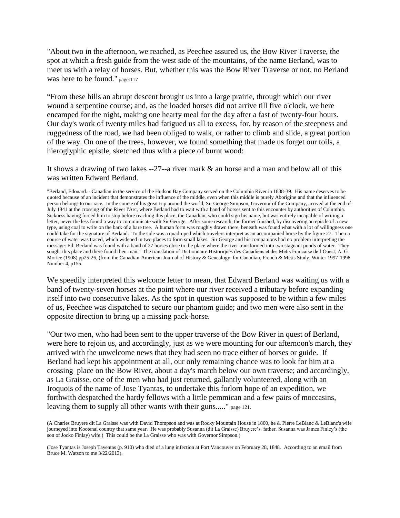"About two in the afternoon, we reached, as Peechee assured us, the Bow River Traverse, the spot at which a fresh guide from the west side of the mountains, of the name Berland, was to meet us with a relay of horses. But, whether this was the Bow River Traverse or not, no Berland was here to be found." page:117

"From these hills an abrupt descent brought us into a large prairie, through which our river wound a serpentine course; and, as the loaded horses did not arrive till five o'clock, we here encamped for the night, making one hearty meal for the day after a fast of twenty-four hours. Our day's work of twenty miles had fatigued us all to excess, for, by reason of the steepness and ruggedness of the road, we had been obliged to walk, or rather to climb and slide, a great portion of the way. On one of the trees, however, we found something that made us forget our toils, a hieroglyphic epistle, sketched thus with a piece of burnt wood:

It shows a drawing of two lakes --27--a river mark & an horse and a man and below all of this was written Edward Berland.

We speedily interpreted this welcome letter to mean, that Edward Berland was waiting us with a band of twenty-seven horses at the point where our river received a tributary before expanding itself into two consecutive lakes. As the spot in question was supposed to be within a few miles of us, Peechee was dispatched to secure our phantom guide; and two men were also sent in the opposite direction to bring up a missing pack-horse.

"Our two men, who had been sent to the upper traverse of the Bow River in quest of Berland, were here to rejoin us, and accordingly, just as we were mounting for our afternoon's march, they arrived with the unwelcome news that they had seen no trace either of horses or guide. If Berland had kept his appointment at all, our only remaining chance was to look for him at a crossing place on the Bow River, about a day's march below our own traverse; and accordingly, as La Graisse, one of the men who had just returned, gallantly volunteered, along with an Iroquois of the name of Jose Tyantas, to undertake this forlorn hope of an expedition, we forthwith despatched the hardy fellows with a little pemmican and a few pairs of moccasins, leaving them to supply all other wants with their guns....." page 121.

(A Charles Bruyere dit La Graisse was with David Thompson and was at Rocky Mountain House in 1800, he & Pierre LeBlanc & LeBlanc's wife journeyed into Kootenai country that same year. He was probably Susanna (dit La Graisse) Bruyere's father. Susanna was James Finley's (the son of Jocko Finlay) wife.) This could be the La Graisse who was with Governor Simpson.)

(Jose Tyantas is Joseph Tayentas (p. 910) who died of a lung infection at Fort Vancouver on February 28, 1848. According to an email from Bruce M. Watson to me  $3/22/2013$ .

<sup>&</sup>quot;Berland, Edouard. - Canadian in the service of the Hudson Bay Company served on the Columbia River in 1838-39. His name deserves to be quoted because of an incident that demonstrates the influence of the middle, even when this middle is purely Aborigine and that the influenced person belongs to our race. In the course of his great trip around the world, Sir George Simpson, Governor of the Company, arrived at the end of July 1841 at the crossing of the River l'Arc, where Berland had to wait with a band of horses sent to this encounter by authorities of Columbia. Sickness having forced him to stop before reaching this place, the Canadian, who could sign his name, but was entirely incapable of writing a letter, never the less found a way to communicate with Sir George. After some research, the former finished, by discovering an epistle of a new type, using coal to write on the bark of a bare tree. A human form was roughly drawn there, beneath was found what with a lot of willingness one could take for the signature of Berland. To the side was a quadruped which travelers interpret as an accompanied horse by the figure 27. Then a course of water was traced, which widened in two places to form small lakes. Sir George and his companions had no problem interpreting the message: Ed. Berland was found with a band of  $27$  horses close to the place where the river transformed into two stagnant ponds of water. They sought this place and there found their man." The translation of Dictionnaire Historiques des Canadiens et des Metis Francaise de l'Ouest, A. G. Morice (1908) pp25-26, (from the Canadian-American Journal of History & Genealogy for Canadian, French & Metis Study, Winter 1997-1998 Number 4, p155.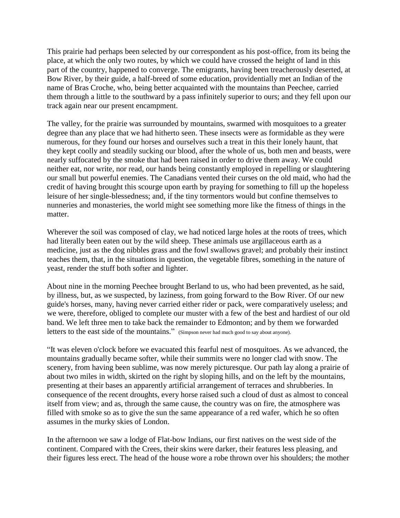This prairie had perhaps been selected by our correspondent as his post-office, from its being the place, at which the only two routes, by which we could have crossed the height of land in this part of the country, happened to converge. The emigrants, having been treacherously deserted, at Bow River, by their guide, a half-breed of some education, providentially met an Indian of the name of Bras Croche, who, being better acquainted with the mountains than Peechee, carried them through a little to the southward by a pass infinitely superior to ours; and they fell upon our track again near our present encampment.

The valley, for the prairie was surrounded by mountains, swarmed with mosquitoes to a greater degree than any place that we had hitherto seen. These insects were as formidable as they were numerous, for they found our horses and ourselves such a treat in this their lonely haunt, that they kept coolly and steadily sucking our blood, after the whole of us, both men and beasts, were nearly suffocated by the smoke that had been raised in order to drive them away. We could neither eat, nor write, nor read, our hands being constantly employed in repelling or slaughtering our small but powerful enemies. The Canadians vented their curses on the old maid, who had the credit of having brought this scourge upon earth by praying for something to fill up the hopeless leisure of her single-blessedness; and, if the tiny tormentors would but confine themselves to nunneries and monasteries, the world might see something more like the fitness of things in the matter.

Wherever the soil was composed of clay, we had noticed large holes at the roots of trees, which had literally been eaten out by the wild sheep. These animals use argillaceous earth as a medicine, just as the dog nibbles grass and the fowl swallows gravel; and probably their instinct teaches them, that, in the situations in question, the vegetable fibres, something in the nature of yeast, render the stuff both softer and lighter.

About nine in the morning Peechee brought Berland to us, who had been prevented, as he said, by illness, but, as we suspected, by laziness, from going forward to the Bow River. Of our new guide's horses, many, having never carried either rider or pack, were comparatively useless; and we were, therefore, obliged to complete our muster with a few of the best and hardiest of our old band. We left three men to take back the remainder to Edmonton; and by them we forwarded letters to the east side of the mountains." (Simpson never had much good to say about anyone).

"It was eleven o'clock before we evacuated this fearful nest of mosquitoes. As we advanced, the mountains gradually became softer, while their summits were no longer clad with snow. The scenery, from having been sublime, was now merely picturesque. Our path lay along a prairie of about two miles in width, skirted on the right by sloping hills, and on the left by the mountains, presenting at their bases an apparently artificial arrangement of terraces and shrubberies. In consequence of the recent droughts, every horse raised such a cloud of dust as almost to conceal itself from view; and as, through the same cause, the country was on fire, the atmosphere was filled with smoke so as to give the sun the same appearance of a red wafer, which he so often assumes in the murky skies of London.

In the afternoon we saw a lodge of Flat-bow Indians, our first natives on the west side of the continent. Compared with the Crees, their skins were darker, their features less pleasing, and their figures less erect. The head of the house wore a robe thrown over his shoulders; the mother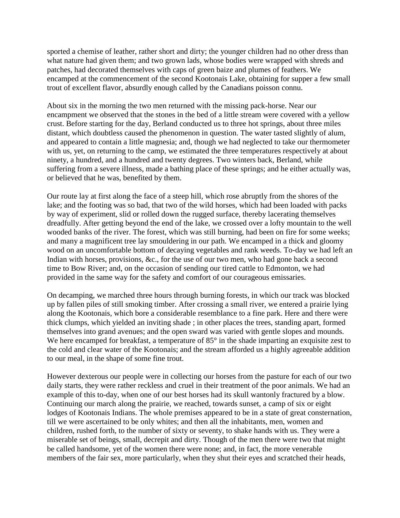sported a chemise of leather, rather short and dirty; the younger children had no other dress than what nature had given them; and two grown lads, whose bodies were wrapped with shreds and patches, had decorated themselves with caps of green baize and plumes of feathers. We encamped at the commencement of the second Kootonais Lake, obtaining for supper a few small trout of excellent flavor, absurdly enough called by the Canadians poisson connu.

About six in the morning the two men returned with the missing pack-horse. Near our encampment we observed that the stones in the bed of a little stream were covered with a yellow crust. Before starting for the day, Berland conducted us to three hot springs, about three miles distant, which doubtless caused the phenomenon in question. The water tasted slightly of alum, and appeared to contain a little magnesia; and, though we had neglected to take our thermometer with us, yet, on returning to the camp, we estimated the three temperatures respectively at about ninety, a hundred, and a hundred and twenty degrees. Two winters back, Berland, while suffering from a severe illness, made a bathing place of these springs; and he either actually was, or believed that he was, benefited by them.

Our route lay at first along the face of a steep hill, which rose abruptly from the shores of the lake; and the footing was so bad, that two of the wild horses, which had been loaded with packs by way of experiment, slid or rolled down the rugged surface, thereby lacerating themselves dreadfully. After getting beyond the end of the lake, we crossed over a lofty mountain to the well wooded banks of the river. The forest, which was still burning, had been on fire for some weeks; and many a magnificent tree lay smouldering in our path. We encamped in a thick and gloomy wood on an uncomfortable bottom of decaying vegetables and rank weeds. To-day we had left an Indian with horses, provisions, &c., for the use of our two men, who had gone back a second time to Bow River; and, on the occasion of sending our tired cattle to Edmonton, we had provided in the same way for the safety and comfort of our courageous emissaries.

On decamping, we marched three hours through burning forests, in which our track was blocked up by fallen piles of still smoking timber. After crossing a small river, we entered a prairie lying along the Kootonais, which bore a considerable resemblance to a fine park. Here and there were thick clumps, which yielded an inviting shade ; in other places the trees, standing apart, formed themselves into grand avenues; and the open sward was varied with gentle slopes and mounds. We here encamped for breakfast, a temperature of 85° in the shade imparting an exquisite zest to the cold and clear water of the Kootonais; and the stream afforded us a highly agreeable addition to our meal, in the shape of some fine trout.

However dexterous our people were in collecting our horses from the pasture for each of our two daily starts, they were rather reckless and cruel in their treatment of the poor animals. We had an example of this to-day, when one of our best horses had its skull wantonly fractured by a blow. Continuing our march along the prairie, we reached, towards sunset, a camp of six or eight lodges of Kootonais Indians. The whole premises appeared to be in a state of great consternation, till we were ascertained to be only whites; and then all the inhabitants, men, women and children, rushed forth, to the number of sixty or seventy, to shake hands with us. They were a miserable set of beings, small, decrepit and dirty. Though of the men there were two that might be called handsome, yet of the women there were none; and, in fact, the more venerable members of the fair sex, more particularly, when they shut their eyes and scratched their heads,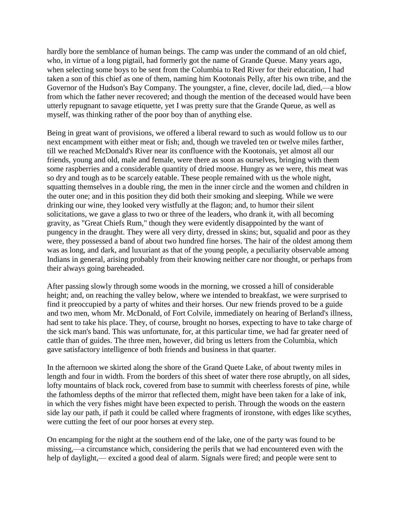hardly bore the semblance of human beings. The camp was under the command of an old chief, who, in virtue of a long pigtail, had formerly got the name of Grande Queue. Many years ago, when selecting some boys to be sent from the Columbia to Red River for their education, I had taken a son of this chief as one of them, naming him Kootonais Pelly, after his own tribe, and the Governor of the Hudson's Bay Company. The youngster, a fine, clever, docile lad, died,—a blow from which the father never recovered; and though the mention of the deceased would have been utterly repugnant to savage etiquette, yet I was pretty sure that the Grande Queue, as well as myself, was thinking rather of the poor boy than of anything else.

Being in great want of provisions, we offered a liberal reward to such as would follow us to our next encampment with either meat or fish; and, though we traveled ten or twelve miles farther, till we reached McDonald's River near its confluence with the Kootonais, yet almost all our friends, young and old, male and female, were there as soon as ourselves, bringing with them some raspberries and a considerable quantity of dried moose. Hungry as we were, this meat was so dry and tough as to be scarcely eatable. These people remained with us the whole night, squatting themselves in a double ring, the men in the inner circle and the women and children in the outer one; and in this position they did both their smoking and sleeping. While we were drinking our wine, they looked very wistfully at the flagon; and, to humor their silent solicitations, we gave a glass to two or three of the leaders, who drank it, with all becoming gravity, as "Great Chiefs Rum," though they were evidently disappointed by the want of pungency in the draught. They were all very dirty, dressed in skins; but, squalid and poor as they were, they possessed a band of about two hundred fine horses. The hair of the oldest among them was as long, and dark, and luxuriant as that of the young people, a peculiarity observable among Indians in general, arising probably from their knowing neither care nor thought, or perhaps from their always going bareheaded.

After passing slowly through some woods in the morning, we crossed a hill of considerable height; and, on reaching the valley below, where we intended to breakfast, we were surprised to find it preoccupied by a party of whites and their horses. Our new friends proved to be a guide and two men, whom Mr. McDonald, of Fort Colvile, immediately on hearing of Berland's illness, had sent to take his place. They, of course, brought no horses, expecting to have to take charge of the sick man's band. This was unfortunate, for, at this particular time, we had far greater need of cattle than of guides. The three men, however, did bring us letters from the Columbia, which gave satisfactory intelligence of both friends and business in that quarter.

In the afternoon we skirted along the shore of the Grand Quete Lake, of about twenty miles in length and four in width. From the borders of this sheet of water there rose abruptly, on all sides, lofty mountains of black rock, covered from base to summit with cheerless forests of pine, while the fathomless depths of the mirror that reflected them, might have been taken for a lake of ink, in which the very fishes might have been expected to perish. Through the woods on the eastern side lay our path, if path it could be called where fragments of ironstone, with edges like scythes, were cutting the feet of our poor horses at every step.

On encamping for the night at the southern end of the lake, one of the party was found to be missing,—a circumstance which, considering the perils that we had encountered even with the help of daylight,— excited a good deal of alarm. Signals were fired; and people were sent to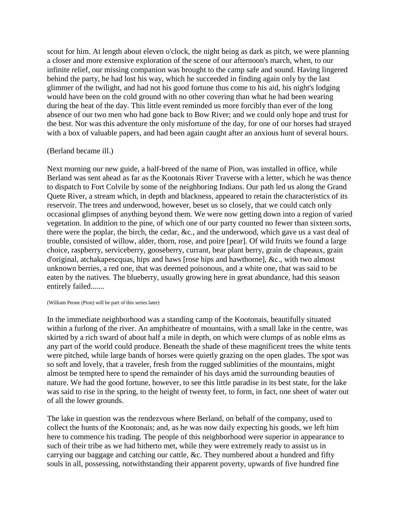scout for him. At length about eleven o'clock, the night being as dark as pitch, we were planning a closer and more extensive exploration of the scene of our afternoon's march, when, to our infinite relief, our missing companion was brought to the camp safe and sound. Having lingered behind the party, he had lost his way, which he succeeded in finding again only by the last glimmer of the twilight, and had not his good fortune thus come to his aid, his night's lodging would have been on the cold ground with no other covering than what he had been wearing during the heat of the day. This little event reminded us more forcibly than ever of the long absence of our two men who had gone back to Bow River; and we could only hope and trust for the best. Nor was this adventure the only misfortune of the day, for one of our horses had strayed with a box of valuable papers, and had been again caught after an anxious hunt of several hours.

## (Berland became ill.)

Next morning our new guide, a half-breed of the name of Pion, was installed in office, while Berland was sent ahead as far as the Kootonais River Traverse with a letter, which he was thence to dispatch to Fort Colvile by some of the neighboring Indians. Our path led us along the Grand Quete River, a stream which, in depth and blackness, appeared to retain the characteristics of its reservoir. The trees and underwood, however, beset us so closely, that we could catch only occasional glimpses of anything beyond them. We were now getting down into a region of varied vegetation. In addition to the pine, of which one of our party counted no fewer than sixteen sorts, there were the poplar, the birch, the cedar, &c., and the underwood, which gave us a vast deal of trouble, consisted of willow, alder, thorn, rose, and poire [pear]. Of wild fruits we found a large choice, raspberry, serviceberry, gooseberry, currant, bear plant berry, grain de chapeaux, grain d'original, atchakapescquas, hips and haws [rose hips and hawthorne], &c., with two almost unknown berries, a red one, that was deemed poisonous, and a white one, that was said to be eaten by the natives. The blueberry, usually growing here in great abundance, had this season entirely failed.......

#### (William Peone (Pion) will be part of this series later)

In the immediate neighborhood was a standing camp of the Kootonais, beautifully situated within a furlong of the river. An amphitheatre of mountains, with a small lake in the centre, was skirted by a rich sward of about half a mile in depth, on which were clumps of as noble elms as any part of the world could produce. Beneath the shade of these magnificent trees the white tents were pitched, while large bands of horses were quietly grazing on the open glades. The spot was so soft and lovely, that a traveler, fresh from the rugged sublimities of the mountains, might almost be tempted here to spend the remainder of his days amid the surrounding beauties of nature. We had the good fortune, however, to see this little paradise in its best state, for the lake was said to rise in the spring, to the height of twenty feet, to form, in fact, one sheet of water out of all the lower grounds.

The lake in question was the rendezvous where Berland, on behalf of the company, used to collect the hunts of the Kootonais; and, as he was now daily expecting his goods, we left him here to commence his trading. The people of this neighborhood were superior in appearance to such of their tribe as we had hitherto met, while they were extremely ready to assist us in carrying our baggage and catching our cattle, &c. They numbered about a hundred and fifty souls in all, possessing, notwithstanding their apparent poverty, upwards of five hundred fine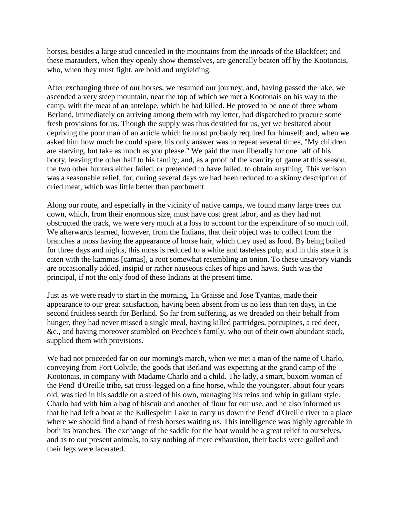horses, besides a large stud concealed in the mountains from the inroads of the Blackfeet; and these marauders, when they openly show themselves, are generally beaten off by the Kootonais, who, when they must fight, are bold and unyielding.

After exchanging three of our horses, we resumed our journey; and, having passed the lake, we ascended a very steep mountain, near the top of which we met a Kootonais on his way to the camp, with the meat of an antelope, which he had killed. He proved to be one of three whom Berland, immediately on arriving among them with my letter, had dispatched to procure some fresh provisions for us. Though the supply was thus destined for us, yet we hesitated about depriving the poor man of an article which he most probably required for himself; and, when we asked him how much he could spare, his only answer was to repeat several times, "My children are starving, but take as much as you please." We paid the man liberally for one half of his booty, leaving the other half to his family; and, as a proof of the scarcity of game at this season, the two other hunters either failed, or pretended to have failed, to obtain anything. This venison was a seasonable relief, for, during several days we had been reduced to a skinny description of dried meat, which was little better than parchment.

Along our route, and especially in the vicinity of native camps, we found many large trees cut down, which, from their enormous size, must have cost great labor, and as they had not obstructed the track, we were very much at a loss to account for the expenditure of so much toil. We afterwards learned, however, from the Indians, that their object was to collect from the branches a moss having the appearance of horse hair, which they used as food. By being boiled for three days and nights, this moss is reduced to a white and tasteless pulp, and in this state it is eaten with the kammas [camas], a root somewhat resembling an onion. To these unsavory viands are occasionally added, insipid or rather nauseous cakes of hips and haws. Such was the principal, if not the only food of these Indians at the present time.

Just as we were ready to start in the morning, La Graisse and Jose Tyantas, made their appearance to our great satisfaction, having been absent from us no less than ten days, in the second fruitless search for Berland. So far from suffering, as we dreaded on their behalf from hunger, they had never missed a single meal, having killed partridges, porcupines, a red deer, &c., and having moreover stumbled on Peechee's family, who out of their own abundant stock, supplied them with provisions.

We had not proceeded far on our morning's march, when we met a man of the name of Charlo, conveying from Fort Colvile, the goods that Berland was expecting at the grand camp of the Kootonais, in company with Madame Charlo and a child. The lady, a smart, buxom woman of the Pend' d'Oreille tribe, sat cross-legged on a fine horse, while the youngster, about four years old, was tied in his saddle on a steed of his own, managing his reins and whip in gallant style. Charlo had with him a bag of biscuit and another of flour for our use, and he also informed us that he had left a boat at the Kullespelm Lake to carry us down the Pend' d'Oreille river to a place where we should find a band of fresh horses waiting us. This intelligence was highly agreeable in both its branches. The exchange of the saddle for the boat would be a great relief to ourselves, and as to our present animals, to say nothing of mere exhaustion, their backs were galled and their legs were lacerated.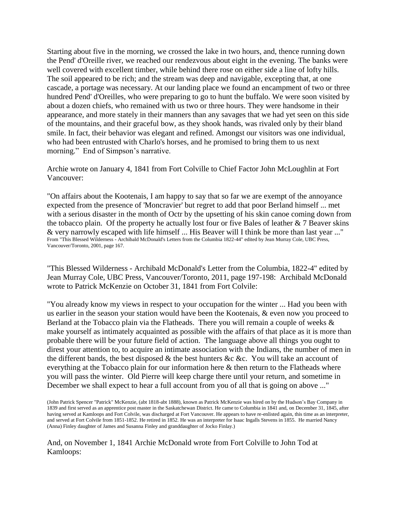Starting about five in the morning, we crossed the lake in two hours, and, thence running down the Pend' d'Oreille river, we reached our rendezvous about eight in the evening. The banks were well covered with excellent timber, while behind there rose on either side a line of lofty hills. The soil appeared to be rich; and the stream was deep and navigable, excepting that, at one cascade, a portage was necessary. At our landing place we found an encampment of two or three hundred Pend' d'Oreilles, who were preparing to go to hunt the buffalo. We were soon visited by about a dozen chiefs, who remained with us two or three hours. They were handsome in their appearance, and more stately in their manners than any savages that we had yet seen on this side of the mountains, and their graceful bow, as they shook hands, was rivaled only by their bland smile. In fact, their behavior was elegant and refined. Amongst our visitors was one individual, who had been entrusted with Charlo's horses, and he promised to bring them to us next morning." End of Simpson's narrative.

Archie wrote on January 4, 1841 from Fort Colville to Chief Factor John McLoughlin at Fort Vancouver:

"On affairs about the Kootenais, I am happy to say that so far we are exempt of the annoyance expected from the presence of 'Moncravier' but regret to add that poor Berland himself ... met with a serious disaster in the month of Octr by the upsetting of his skin canoe coming down from the tobacco plain. Of the property he actually lost four or five Bales of leather  $& 7$  Beaver skins & very narrowly escaped with life himself ... His Beaver will I think be more than last year ..." From "This Blessed Wilderness - Archibald McDonald's Letters from the Columbia 1822-44" edited by Jean Murray Cole, UBC Press, Vancouver/Toronto, 2001, page 167.

"This Blessed Wilderness - Archibald McDonald's Letter from the Columbia, 1822-4" edited by Jean Murray Cole, UBC Press, Vancouver/Toronto, 2011, page 197-198: Archibald McDonald wrote to Patrick McKenzie on October 31, 1841 from Fort Colvile:

"You already know my views in respect to your occupation for the winter ... Had you been with us earlier in the season your station would have been the Kootenais, & even now you proceed to Berland at the Tobacco plain via the Flatheads. There you will remain a couple of weeks  $\&$ make yourself as intimately acquainted as possible with the affairs of that place as it is more than probable there will be your future field of action. The language above all things you ought to direst your attention to, to acquire an intimate association with the Indians, the number of men in the different bands, the best disposed  $\&$  the best hunters  $\&c \&c$ . You will take an account of everything at the Tobacco plain for our information here & then return to the Flatheads where you will pass the winter. Old Pierre will keep charge there until your return, and sometime in December we shall expect to hear a full account from you of all that is going on above ..."

(John Patrick Spencer "Patrick" McKenzie, (abt 1818-abt 1888), known as Patrick McKenzie was hired on by the Hudson's Bay Company in 1839 and first served as an apprentice post master in the Saskatchewan District. He came to Columbia in 1841 and, on December 31, 1845, after having served at Kamloops and Fort Colvile, was discharged at Fort Vancouver. He appears to have re-enlisted again, this time as an interpreter, and served at Fort Colvile from 1851-1852. He retired in 1852. He was an interpreter for Isaac Ingalls Stevens in 1855. He married Nancy (Anna) Finley daughter of James and Susanna Finley and granddaughter of Jocko Finlay.)

And, on November 1, 1841 Archie McDonald wrote from Fort Colville to John Tod at Kamloops: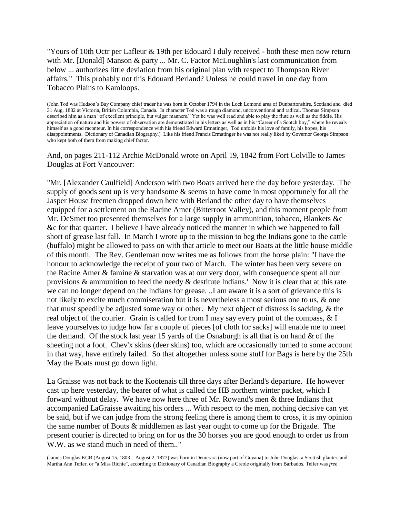"Yours of 10th Octr per Lafleur & 19th per Edouard I duly received - both these men now return with Mr. [Donald] Manson & party ... Mr. C. Factor McLoughlin's last communication from below ... authorizes little deviation from his original plan with respect to Thompson River affairs." This probably not this Edouard Berland? Unless he could travel in one day from Tobacco Plains to Kamloops.

(John Tod was Hudson's Bay Company chief trader he was born in October 1794 in the Loch Lomond area of Dunbartonshire, Scotland and died 31 Aug. 1882 at Victoria, British Columbia, Canada. In character Tod was a rough diamond, unconventional and radical. Thomas Simpson described him as a man "of excellent principle, but vulgar manners." Yet he was well read and able to play the flute as well as the fiddle. His appreciation of nature and his powers of observation are demonstrated in his letters as well as in his "Career of a Scotch boy," where he reveals himself as a good raconteur. In his correspondence with his friend Edward Ermatinger, Tod unfolds his love of family, his hopes, his disappointments. Dictionary of Canadian Biography.) Like his friend Francis Ermatinger he was not really liked by Governor George Simpson who kept both of them from making chief factor.

And, on pages 211-112 Archie McDonald wrote on April 19, 1842 from Fort Colville to James Douglas at Fort Vancouver:

"Mr. [Alexander Caulfield] Anderson with two Boats arrived here the day before yesterday. The supply of goods sent up is very handsome  $\&$  seems to have come in most opportunely for all the Jasper House freemen dropped down here with Berland the other day to have themselves equipped for a settlement on the Racine Amer (Bitterroot Valley), and this moment people from Mr. DeSmet too presented themselves for a large supply in ammunition, tobacco, Blankets &c &c for that quarter. I believe I have already noticed the manner in which we happened to fall short of grease last fall. In March I wrote up to the mission to beg the Indians gone to the cattle (buffalo) might be allowed to pass on with that article to meet our Boats at the little house middle of this month. The Rev. Gentleman now writes me as follows from the horse plain: "I have the honour to acknowledge the receipt of your two of March. The winter has been very severe on the Racine Amer & famine & starvation was at our very door, with consequence spent all our provisions  $\&$  ammunition to feed the needy  $\&$  destitute Indians.' Now it is clear that at this rate we can no longer depend on the Indians for grease. ..I am aware it is a sort of grievance this is not likely to excite much commiseration but it is nevertheless a most serious one to us, & one that must speedily be adjusted some way or other. My next object of distress is sacking, & the real object of the courier. Grain is called for from I may say every point of the compass, & I leave yourselves to judge how far a couple of pieces [of cloth for sacks] will enable me to meet the demand. Of the stock last year 15 yards of the Osnaburgh is all that is on hand  $\&$  of the sheeting not a foot. Chev'x skins (deer skins) too, which are occasionally turned to some account in that way, have entirely failed. So that altogether unless some stuff for Bags is here by the 25th May the Boats must go down light.

La Graisse was not back to the Kootenais till three days after Berland's departure. He however cast up here yesterday, the bearer of what is called the HB northern winter packet, which I forward without delay. We have now here three of Mr. Rowand's men & three Indians that accompanied LaGraisse awaiting his orders ... With respect to the men, nothing decisive can yet be said, but if we can judge from the strong feeling there is among them to cross, it is my opinion the same number of Bouts & middlemen as last year ought to come up for the Brigade. The present courier is directed to bring on for us the 30 horses you are good enough to order us from W.W. as we stand much in need of them.."

(James Douglas [KCB](http://en.wikipedia.org/wiki/Order_of_the_Bath) (August 15, 1803 – August 2, 1877) was born in Demerara (now part o[f Guyana\)](http://en.wikipedia.org/wiki/Guyana) to John Douglas, a Scottish planter, and Martha Ann Tefler[, or "a Miss Richie", according to Dictionary of Canadian Biography](http://en.wikipedia.org/w/index.php?title=Or_%22a_Miss_Richie%22,_according_to_Dictionary_of_Canadian_Biography&action=edit&redlink=1) a [Creole](http://en.wikipedia.org/wiki/Creole_peoples#Caribbean) originally from [Barbados.](http://en.wikipedia.org/wiki/Barbados) Telfer was *free*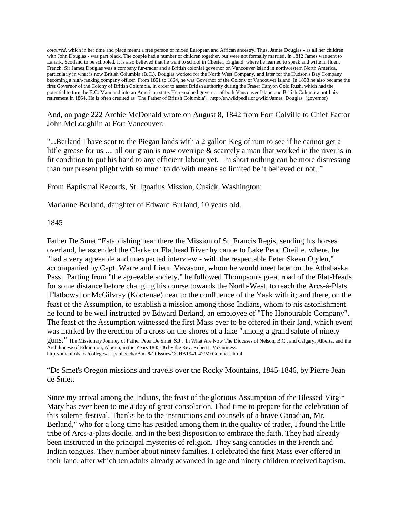*coloured*, which in her time and place meant a free person of mixed European and African ancestry. Thus, James Douglas - as all her children with John Douglas - was part black. The couple had a number of children together, but were not formally married. In 1812 James was sent to [Lanark,](http://en.wikipedia.org/wiki/Lanark) Scotland to be schooled. It is also believed that he went to school i[n Chester, England,](http://en.wikipedia.org/wiki/Chester,_England) where he learned to speak and write in fluent [French.](http://en.wikipedia.org/wiki/French_language) Sir James Douglas was a company fur-trader and a Britis[h colonial governor](http://en.wikipedia.org/wiki/British_Empire) on Vancouver Island in northwestern North America, particularly in what is now [British Columbia](http://en.wikipedia.org/wiki/British_Columbia) (B.C.). Douglas worked for the [North West Company,](http://en.wikipedia.org/wiki/North_West_Company) and later for th[e Hudson's Bay Company](http://en.wikipedia.org/wiki/Hudson%27s_Bay_Company) becoming a high-ranking company officer. From 1851 to 1864, he was Governor of th[e Colony of Vancouver Island.](http://en.wikipedia.org/wiki/Colony_of_Vancouver_Island) In 1858 he also became the first Governor of th[e Colony of British Columbia,](http://en.wikipedia.org/wiki/Colony_of_British_Columbia) in order to assert British authority during th[e Fraser Canyon Gold Rush,](http://en.wikipedia.org/wiki/Fraser_Canyon_Gold_Rush) which had the potential to turn the B.C. Mainland into an American state. He remained governor of both Vancouver Island and British Columbia until his retirement in 1864. He is often credited as "The Father of British Columbia". http://en.wikipedia.org/wiki/James\_Douglas\_(governor)

And, on page 222 Archie McDonald wrote on August 8, 1842 from Fort Colville to Chief Factor John McLoughlin at Fort Vancouver:

"...Berland I have sent to the Piegan lands with a 2 gallon Keg of rum to see if he cannot get a little grease for us .... all our grain is now overripe & scarcely a man that worked in the river is in fit condition to put his hand to any efficient labour yet. In short nothing can be more distressing than our present plight with so much to do with means so limited be it believed or not.."

From Baptismal Records, St. Ignatius Mission, Cusick, Washington:

Marianne Berland, daughter of Edward Burland, 10 years old.

1845

Father De Smet "Establishing near there the Mission of St. Francis Regis, sending his horses overland, he ascended the Clarke or Flathead River by canoe to Lake Pend Oreille, where, he "had a very agreeable and unexpected interview - with the respectable Peter Skeen Ogden," accompanied by Capt. Warre and Lieut. Vavasour, whom he would meet later on the Athabaska Pass. Parting from "the agreeable society," he followed Thompson's great road of the Flat-Heads for some distance before changing his course towards the North-West, to reach the Arcs-à-Plats [Flatbows] or McGilvray (Kootenae) near to the confluence of the Yaak with it; and there, on the feast of the Assumption, to establish a mission among those Indians, whom to his astonishment he found to be well instructed by Edward Berland, an employee of "The Honourable Company". The feast of the Assumption witnessed the first Mass ever to be offered in their land, which event was marked by the erection of a cross on the shores of a lake "among a grand salute of ninety

guns." The Missionary Journey of Father Peter De Smet, S.J., In What Are Now The Dioceses of Nelson, B.C., and Calgary, Alberta, and the Archdiocese of Edmonton, Alberta, in the Years 1845-46 by the Rev. RobertJ. McGuiness. http://umanitoba.ca/colleges/st\_pauls/ccha/Back%20Issues/CCHA1941-42/McGuinness.html

"De Smet's Oregon missions and travels over the Rocky Mountains, 1845-1846, by Pierre-Jean de Smet.

Since my arrival among the Indians, the feast of the glorious Assumption of the Blessed Virgin Mary has ever been to me a day of great consolation. I had time to prepare for the celebration of this solemn festival. Thanks be to the instructions and counsels of a brave Canadian, Mr. Berland," who for a long time has resided among them in the quality of trader, I found the little tribe of Arcs-a-plats docile, and in the best disposition to embrace the faith. They had already been instructed in the principal mysteries of religion. They sang canticles in the French and Indian tongues. They number about ninety families. I celebrated the first Mass ever offered in their land; after which ten adults already advanced in age and ninety children received baptism.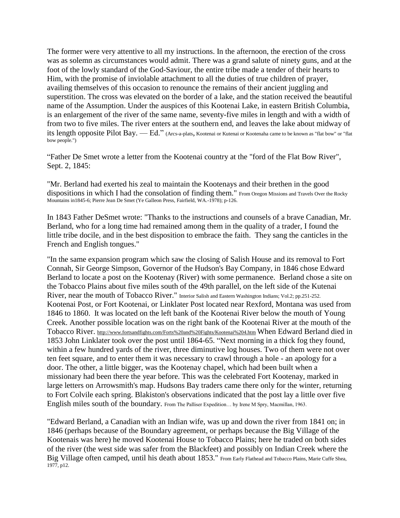The former were very attentive to all my instructions. In the afternoon, the erection of the cross was as solemn as circumstances would admit. There was a grand salute of ninety guns, and at the foot of the lowly standard of the God-Saviour, the entire tribe made a tender of their hearts to Him, with the promise of inviolable attachment to all the duties of true children of prayer, availing themselves of this occasion to renounce the remains of their ancient juggling and superstition. The cross was elevated on the border of a lake, and the station received the beautiful name of the Assumption. Under the auspices of this Kootenai Lake, in eastern British Columbia, is an enlargement of the river of the same name, seventy-five miles in length and with a width of from two to five miles. The river enters at the southern end, and leaves the lake about midway of its length opposite Pilot Bay. — Ed." (Arcs-a-plats, Kootenai or Kutenai or Kootenaha came to be known as "flat bow" or "flat bow people.")

"Father De Smet wrote a letter from the Kootenai country at the "ford of the Flat Bow River", Sept. 2, 1845:

"Mr. Berland had exerted his zeal to maintain the Kootenays and their brethen in the good dispositions in which I had the consolation of finding them." From Oregon Missions and Travels Over the Rocky Mountains in1845-6; Pierre Jean De Smet (Ye Galleon Press, Fairfield, WA.-1978); p-126.

In 1843 Father DeSmet wrote: "Thanks to the instructions and counsels of a brave Canadian, Mr. Berland, who for a long time had remained among them in the quality of a trader, I found the little tribe docile, and in the best disposition to embrace the faith. They sang the canticles in the French and English tongues."

"In the same expansion program which saw the closing of Salish House and its removal to Fort Connah, Sir George Simpson, Governor of the Hudson's Bay Company, in 1846 chose Edward Berland to locate a post on the Kootenay (River) with some permanence. Berland chose a site on the Tobacco Plains about five miles south of the 49th parallel, on the left side of the Kutenai River, near the mouth of Tobacco River." Interior Salish and Eastern Washington Indians; Vol.2; pp.251-252. Kootenai Post, or Fort Kootenai, or Linklater Post located near Rexford, Montana was used from 1846 to 1860. It was located on the left bank of the Kootenai River below the mouth of Young Creek. Another possible location was on the right bank of the Kootenai River at the mouth of the Tobacco River. <http://www.fortsandfights.com/Forts%20and%20Fights/Kootenai%204.htm> When Edward Berland died in 1853 John Linklater took over the post until 1864-65. "Next morning in a thick fog they found, within a few hundred yards of the river, three diminutive log houses. Two of them were not over ten feet square, and to enter them it was necessary to crawl through a hole - an apology for a door. The other, a little bigger, was the Kootenay chapel, which had been built when a missionary had been there the year before. This was the celebrated Fort Kootenay, marked in large letters on Arrowsmith's map. Hudsons Bay traders came there only for the winter, returning to Fort Colvile each spring. Blakiston's observations indicated that the post lay a little over five English miles south of the boundary. From The Palliser Expedition… by Irene M Spry, Macmillan, 1963.

"Edward Berland, a Canadian with an Indian wife, was up and down the river from 1841 on; in 1846 (perhaps because of the Boundary agreement, or perhaps because the Big Village of the Kootenais was here) he moved Kootenai House to Tobacco Plains; here he traded on both sides of the river (the west side was safer from the Blackfeet) and possibly on Indian Creek where the Big Village often camped, until his death about 1853." From Early Flathead and Tobacco Plains, Marie Cuffe Shea, 1977, p12.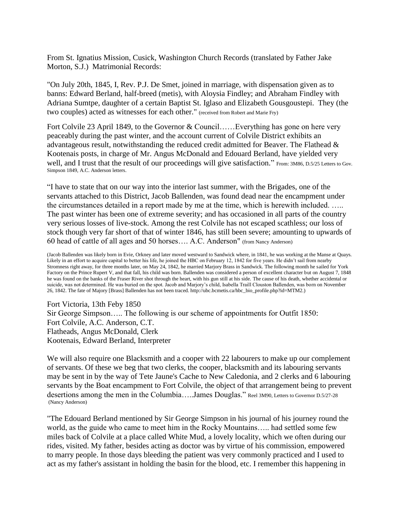From St. Ignatius Mission, Cusick, Washington Church Records (translated by Father Jake Morton, S.J.) Matrimonial Records:

"On July 20th, 1845, I, Rev. P.J. De Smet, joined in marriage, with dispensation given as to banns: Edward Berland, half-breed (metis), with Aloysia Findley; and Abraham Findley with Adriana Sumtpe, daughter of a certain Baptist St. Iglaso and Elizabeth Gousgoustepi. They (the two couples) acted as witnesses for each other." (received from Robert and Marie Fry)

Fort Colvile 23 April 1849, to the Governor & Council……Everything has gone on here very peaceably during the past winter, and the account current of Colvile District exhibits an advantageous result, notwithstanding the reduced credit admitted for Beaver. The Flathead & Kootenais posts, in charge of Mr. Angus McDonald and Edouard Berland, have yielded very well, and I trust that the result of our proceedings will give satisfaction." From: 3M86, D.5/25 Letters to Gov. Simpson 1849, A.C. Anderson letters.

"I have to state that on our way into the interior last summer, with the Brigades, one of the servants attached to this District, Jacob Ballenden, was found dead near the encampment under the circumstances detailed in a report made by me at the time, which is herewith included. ….. The past winter has been one of extreme severity; and has occasioned in all parts of the country very serious losses of live-stock. Among the rest Colvile has not escaped scathless; our loss of stock though very far short of that of winter 1846, has still been severe; amounting to upwards of 60 head of cattle of all ages and 50 horses…. A.C. Anderson" (from Nancy Anderson)

(Jacob Ballenden was likely born in Evie, Orkney and later moved westward to Sandwick where, in 1841, he was working at the Manse at Quays. Likely in an effort to acquire capital to better his life, he joined the HBC on February 12, 1842 for five years. He didn't sail from nearby Stromness right away, for three months later, on May 24, 1842, he married Marjory Brass in Sandwick. The following month he sailed for York Factory on the Prince Rupert V, and that fall, his child was born. Ballenden was considered a person of excellent character but on August 7, 1848 he was found on the banks of the Fraser River shot through the heart, with his gun still at his side. The cause of his death, whether accidental or suicide, was not determined. He was buried on the spot. Jacob and Marjory's child, Isabella Traill Clouston Ballenden, was born on November 26, 1842. The fate of Majory [Brass] Ballenden has not been traced. http://ubc.bcmetis.ca/hbc\_bio\_profile.php?id=MTM2.)

Fort Victoria, 13th Feby 1850 Sir George Simpson….. The following is our scheme of appointments for Outfit 1850: Fort Colvile, A.C. Anderson, C.T. Flatheads, Angus McDonald, Clerk Kootenais, Edward Berland, Interpreter

We will also require one Blacksmith and a cooper with 22 labourers to make up our complement of servants. Of these we beg that two clerks, the cooper, blacksmith and its labouring servants may be sent in by the way of Tete Jaune's Cache to New Caledonia, and 2 clerks and 6 labouring servants by the Boat encampment to Fort Colvile, the object of that arrangement being to prevent desertions among the men in the Columbia…..James Douglas." Reel 3M90, Letters to Governor D.5/27-28 (Nancy Anderson)

"The Edouard Berland mentioned by Sir George Simpson in his journal of his journey round the world, as the guide who came to meet him in the Rocky Mountains….. had settled some few miles back of Colvile at a place called White Mud, a lovely locality, which we often during our rides, visited. My father, besides acting as doctor was by virtue of his commission, empowered to marry people. In those days bleeding the patient was very commonly practiced and I used to act as my father's assistant in holding the basin for the blood, etc. I remember this happening in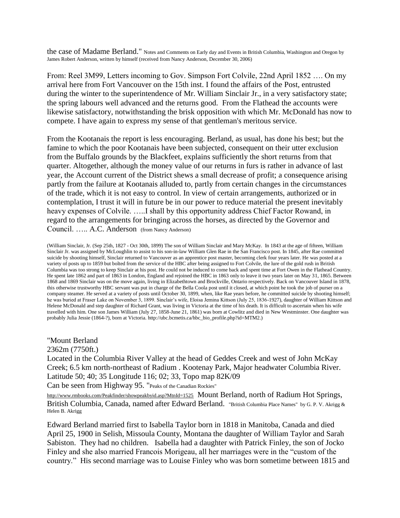the case of Madame Berland." Notes and Comments on Early day and Events in British Columbia, Washington and Oregon by James Robert Anderson, written by himself (received from Nancy Anderson, December 30, 2006)

From: Reel 3M99, Letters incoming to Gov. Simpson Fort Colvile, 22nd April 1852 …. On my arrival here from Fort Vancouver on the 15th inst. I found the affairs of the Post, entrusted during the winter to the superintendence of Mr. William Sinclair Jr., in a very satisfactory state; the spring labours well advanced and the returns good. From the Flathead the accounts were likewise satisfactory, notwithstanding the brisk opposition with which Mr. McDonald has now to compete. I have again to express my sense of that gentleman's meritous service.

From the Kootanais the report is less encouraging. Berland, as usual, has done his best; but the famine to which the poor Kootanais have been subjected, consequent on their utter exclusion from the Buffalo grounds by the Blackfeet, explains sufficiently the short returns from that quarter. Altogether, although the money value of our returns in furs is rather in advance of last year, the Account current of the District shews a small decrease of profit; a consequence arising partly from the failure at Kootanais alluded to, partly from certain changes in the circumstances of the trade, which it is not easy to control. In view of certain arrangements, authorized or in contemplation, I trust it will in future be in our power to reduce material the present inevitably heavy expenses of Colvile. …..I shall by this opportunity address Chief Factor Rowand, in regard to the arrangements for bringing across the horses, as directed by the Governor and Council. ….. A.C. Anderson (from Nancy Anderson)

(William Sinclair, Jr. (Sep 25th, 1827 - Oct 30th, 1899) The son of William Sinclair and Mary McKay. In 1843 at the age of fifteen, William Sinclair Jr. was assigned by McLoughlin to assist to his son-in-law William Glen Rae in the San Francisco post. In 1845, after Rae committed suicide by shooting himself, Sinclair returned to Vancouver as an apprentice post master, becoming clerk four years later. He was posted at a variety of posts up to 1859 but bolted from the service of the HBC after being assigned to Fort Colvile, the lure of the gold rush in British Columbia was too strong to keep Sinclair at his post. He could not be induced to come back and spent time at Fort Owen in the Flathead Country. He spent late 1862 and part of 1863 in London, England and rejoined the HBC in 1863 only to leave it two years later on May 31, 1865. Between 1868 and 1869 Sinclair was on the move again, living in Elizabethtown and Brockville, Ontario respectively. Back on Vancouver Island in 1878, this otherwise trustworthy HBC servant was put in charge of the Bella Coola post until it closed, at which point he took the job of purser on a company steamer. He served at a variety of posts until October 30, 1899, when, like Rae years before, he committed suicide by shooting himself; he was buried at Fraser Lake on November 3, 1899. Sinclair's wife, Eloisa Jemina Kittson (July 25, 1836-1927), daughter of William Kittson and Helene McDonald and step daughter of Richard Grant, was living in Victoria at the time of his death. It is difficult to ascertain when his wife travelled with him. One son James William (July 27, 1858-June 21, 1861) was born at Cowlitz and died in New Westminster. One daughter was probably Julia Jessie (1864-?), born at Victoria. http://ubc.bcmetis.ca/hbc\_bio\_profile.php?id=MTM2.)

"Mount Berland

2362m (7750ft.)

Located in the Columbia River Valley at the head of Geddes Creek and west of John McKay Creek; 6.5 km north-northeast of Radium . Kootenay Park, Major headwater Columbia River. Latitude 50; 40; 35 Longitude 116; 02; 33, Topo map 82K/09

Can be seen from Highway 95. "Peaks of the Canadian Rockies"

<http://www.rmbooks.com/Peakfinder/showpeakbyid.asp?MtnId=1525>Mount Berland, north of Radium Hot Springs, British Columbia, Canada, named after Edward Berland. "British Columbia Place Names" by G. P. V. Akrigg & Helen B. Akrigg

Edward Berland married first to Isabella Taylor born in 1818 in Manitoba, Canada and died April 25, 1900 in Selish, Missoula County, Montana the daughter of William Taylor and Sarah Sabiston. They had no children. Isabella had a daughter with Patrick Finley, the son of Jocko Finley and she also married Francois Morigeau, all her marriages were in the "custom of the country." His second marriage was to Louise Finley who was born sometime between 1815 and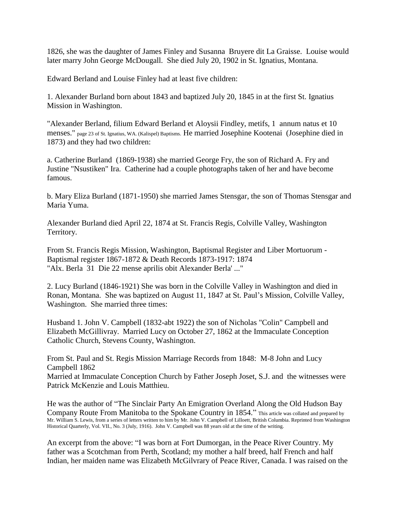1826, she was the daughter of James Finley and Susanna Bruyere dit La Graisse. Louise would later marry John George McDougall. She died July 20, 1902 in St. Ignatius, Montana.

Edward Berland and Louise Finley had at least five children:

1. Alexander Burland born about 1843 and baptized July 20, 1845 in at the first St. Ignatius Mission in Washington.

"Alexander Berland, filium Edward Berland et Aloysii Findley, metifs, 1 annum natus et 10 menses." page 23 of St. Ignatius, WA. (Kalispel) Baptisms. He married Josephine Kootenai (Josephine died in 1873) and they had two children:

a. Catherine Burland (1869-1938) she married George Fry, the son of Richard A. Fry and Justine "Nsustiken" Ira. Catherine had a couple photographs taken of her and have become famous.

b. Mary Eliza Burland (1871-1950) she married James Stensgar, the son of Thomas Stensgar and Maria Yuma.

Alexander Burland died April 22, 1874 at St. Francis Regis, Colville Valley, Washington Territory.

From St. Francis Regis Mission, Washington, Baptismal Register and Liber Mortuorum - Baptismal register 1867-1872 & Death Records 1873-1917: 1874 "Alx. Berla 31 Die 22 mense aprilis obit Alexander Berla' ..."

2. Lucy Burland (1846-1921) She was born in the Colville Valley in Washington and died in Ronan, Montana. She was baptized on August 11, 1847 at St. Paul's Mission, Colville Valley, Washington. She married three times:

Husband 1. John V. Campbell (1832-abt 1922) the son of Nicholas "Colin" Campbell and Elizabeth McGillivray. Married Lucy on October 27, 1862 at the Immaculate Conception Catholic Church, Stevens County, Washington.

From St. Paul and St. Regis Mission Marriage Records from 1848: M-8 John and Lucy Campbell 1862

Married at Immaculate Conception Church by Father Joseph Joset, S.J. and the witnesses were Patrick McKenzie and Louis Matthieu.

He was the author of "The Sinclair Party An Emigration Overland Along the Old Hudson Bay Company Route From Manitoba to the Spokane Country in 1854." This article was collated and prepared by Mr. William S. Lewis, from a series of letters written to him by Mr. John V. Campbell of Lilloett, British Columbia. Reprinted from Washington Historical Quarterly, Vol. VII., No. 3 (July, 1916). John V. Campbell was 88 years old at the time of the writing.

An excerpt from the above: "I was born at Fort Dumorgan, in the Peace River Country. My father was a Scotchman from Perth, Scotland; my mother a half breed, half French and half Indian, her maiden name was Elizabeth McGilvrary of Peace River, Canada. I was raised on the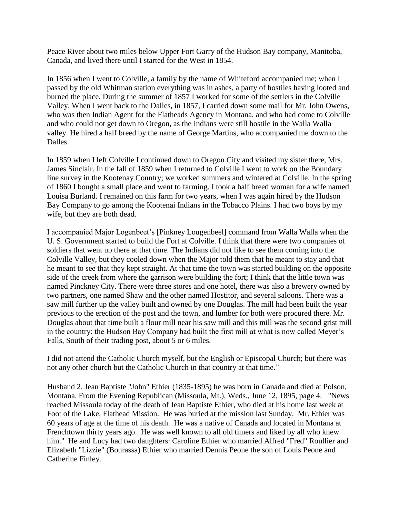Peace River about two miles below Upper Fort Garry of the Hudson Bay company, Manitoba, Canada, and lived there until I started for the West in 1854.

In 1856 when I went to Colville, a family by the name of Whiteford accompanied me; when I passed by the old Whitman station everything was in ashes, a party of hostiles having looted and burned the place. During the summer of 1857 I worked for some of the settlers in the Colville Valley. When I went back to the Dalles, in 1857, I carried down some mail for Mr. John Owens, who was then Indian Agent for the Flatheads Agency in Montana, and who had come to Colville and who could not get down to Oregon, as the Indians were still hostile in the Walla Walla valley. He hired a half breed by the name of George Martins, who accompanied me down to the Dalles.

In 1859 when I left Colville I continued down to Oregon City and visited my sister there, Mrs. James Sinclair. In the fall of 1859 when I returned to Colville I went to work on the Boundary line survey in the Kootenay Country; we worked summers and wintered at Colville. In the spring of 1860 I bought a small place and went to farming. I took a half breed woman for a wife named Louisa Burland. I remained on this farm for two years, when I was again hired by the Hudson Bay Company to go among the Kootenai Indians in the Tobacco Plains. I had two boys by my wife, but they are both dead.

I accompanied Major Logenbeet's [Pinkney Lougenbeel] command from Walla Walla when the U. S. Government started to build the Fort at Colville. I think that there were two companies of soldiers that went up there at that time. The Indians did not like to see them coming into the Colville Valley, but they cooled down when the Major told them that he meant to stay and that he meant to see that they kept straight. At that time the town was started building on the opposite side of the creek from where the garrison were building the fort; I think that the little town was named Pinckney City. There were three stores and one hotel, there was also a brewery owned by two partners, one named Shaw and the other named Hostitor, and several saloons. There was a saw mill further up the valley built and owned by one Douglas. The mill had been built the year previous to the erection of the post and the town, and lumber for both were procured there. Mr. Douglas about that time built a flour mill near his saw mill and this mill was the second grist mill in the country; the Hudson Bay Company had built the first mill at what is now called Meyer's Falls, South of their trading post, about 5 or 6 miles.

I did not attend the Catholic Church myself, but the English or Episcopal Church; but there was not any other church but the Catholic Church in that country at that time."

Husband 2. Jean Baptiste "John" Ethier (1835-1895) he was born in Canada and died at Polson, Montana. From the Evening Republican (Missoula, Mt.), Weds., June 12, 1895, page 4: "News reached Missoula today of the death of Jean Baptiste Ethier, who died at his home last week at Foot of the Lake, Flathead Mission. He was buried at the mission last Sunday. Mr. Ethier was 60 years of age at the time of his death. He was a native of Canada and located in Montana at Frenchtown thirty years ago. He was well known to all old timers and liked by all who knew him." He and Lucy had two daughters: Caroline Ethier who married Alfred "Fred" Roullier and Elizabeth "Lizzie" (Bourassa) Ethier who married Dennis Peone the son of Louis Peone and Catherine Finley.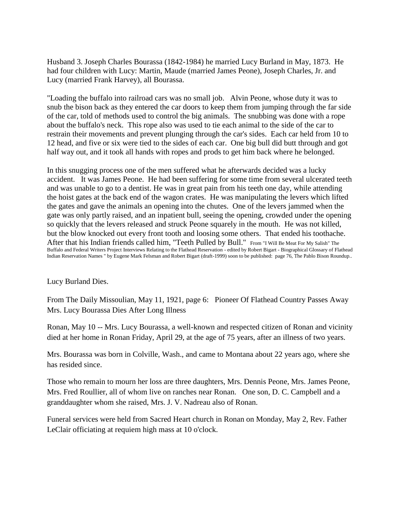Husband 3. Joseph Charles Bourassa (1842-1984) he married Lucy Burland in May, 1873. He had four children with Lucy: Martin, Maude (married James Peone), Joseph Charles, Jr. and Lucy (married Frank Harvey), all Bourassa.

"Loading the buffalo into railroad cars was no small job. Alvin Peone, whose duty it was to snub the bison back as they entered the car doors to keep them from jumping through the far side of the car, told of methods used to control the big animals. The snubbing was done with a rope about the buffalo's neck. This rope also was used to tie each animal to the side of the car to restrain their movements and prevent plunging through the car's sides. Each car held from 10 to 12 head, and five or six were tied to the sides of each car. One big bull did butt through and got half way out, and it took all hands with ropes and prods to get him back where he belonged.

In this snugging process one of the men suffered what he afterwards decided was a lucky accident. It was James Peone. He had been suffering for some time from several ulcerated teeth and was unable to go to a dentist. He was in great pain from his teeth one day, while attending the hoist gates at the back end of the wagon crates. He was manipulating the levers which lifted the gates and gave the animals an opening into the chutes. One of the levers jammed when the gate was only partly raised, and an inpatient bull, seeing the opening, crowded under the opening so quickly that the levers released and struck Peone squarely in the mouth. He was not killed, but the blow knocked out every front tooth and loosing some others. That ended his toothache. After that his Indian friends called him, "Teeth Pulled by Bull." From "I Will Be Meat For My Salish" The Buffalo and Federal Writers Project Interviews Relating to the Flathead Reservation - edited by Robert Bigart - Biographical Glossary of Flathead Indian Reservation Names " by Eugene Mark Felsman and Robert Bigart (draft-1999) soon to be published: page 76, The Pablo Bison Roundup..

## Lucy Burland Dies.

From The Daily Missoulian, May 11, 1921, page 6: Pioneer Of Flathead Country Passes Away Mrs. Lucy Bourassa Dies After Long Illness

Ronan, May 10 -- Mrs. Lucy Bourassa, a well-known and respected citizen of Ronan and vicinity died at her home in Ronan Friday, April 29, at the age of 75 years, after an illness of two years.

Mrs. Bourassa was born in Colville, Wash., and came to Montana about 22 years ago, where she has resided since.

Those who remain to mourn her loss are three daughters, Mrs. Dennis Peone, Mrs. James Peone, Mrs. Fred Roullier, all of whom live on ranches near Ronan. One son, D. C. Campbell and a granddaughter whom she raised, Mrs. J. V. Nadreau also of Ronan.

Funeral services were held from Sacred Heart church in Ronan on Monday, May 2, Rev. Father LeClair officiating at requiem high mass at 10 o'clock.